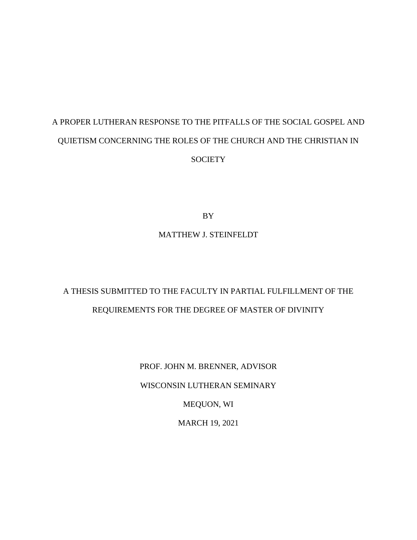# A PROPER LUTHERAN RESPONSE TO THE PITFALLS OF THE SOCIAL GOSPEL AND QUIETISM CONCERNING THE ROLES OF THE CHURCH AND THE CHRISTIAN IN **SOCIETY**

BY

# MATTHEW J. STEINFELDT

# A THESIS SUBMITTED TO THE FACULTY IN PARTIAL FULFILLMENT OF THE REQUIREMENTS FOR THE DEGREE OF MASTER OF DIVINITY

PROF. JOHN M. BRENNER, ADVISOR WISCONSIN LUTHERAN SEMINARY MEQUON, WI MARCH 19, 2021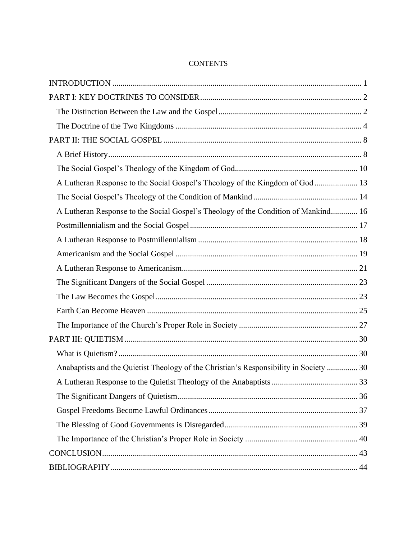| A Lutheran Response to the Social Gospel's Theology of the Kingdom of God  13          |  |
|----------------------------------------------------------------------------------------|--|
|                                                                                        |  |
| A Lutheran Response to the Social Gospel's Theology of the Condition of Mankind 16     |  |
|                                                                                        |  |
|                                                                                        |  |
|                                                                                        |  |
|                                                                                        |  |
|                                                                                        |  |
|                                                                                        |  |
|                                                                                        |  |
|                                                                                        |  |
|                                                                                        |  |
|                                                                                        |  |
| Anabaptists and the Quietist Theology of the Christian's Responsibility in Society  30 |  |
|                                                                                        |  |
|                                                                                        |  |
|                                                                                        |  |
|                                                                                        |  |
|                                                                                        |  |
|                                                                                        |  |
|                                                                                        |  |

# **CONTENTS**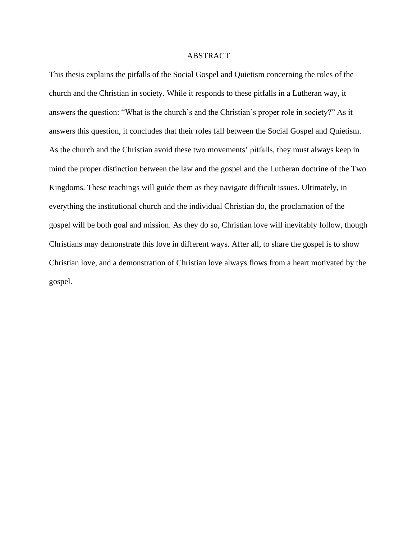#### ABSTRACT

This thesis explains the pitfalls of the Social Gospel and Quietism concerning the roles of the church and the Christian in society. While it responds to these pitfalls in a Lutheran way, it answers the question: "What is the church's and the Christian's proper role in society?" As it answers this question, it concludes that their roles fall between the Social Gospel and Quietism. As the church and the Christian avoid these two movements' pitfalls, they must always keep in mind the proper distinction between the law and the gospel and the Lutheran doctrine of the Two Kingdoms. These teachings will guide them as they navigate difficult issues. Ultimately, in everything the institutional church and the individual Christian do, the proclamation of the gospel will be both goal and mission. As they do so, Christian love will inevitably follow, though Christians may demonstrate this love in different ways. After all, to share the gospel is to show Christian love, and a demonstration of Christian love always flows from a heart motivated by the gospel.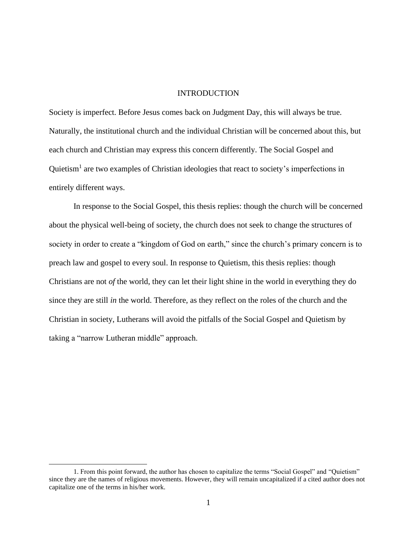## INTRODUCTION

<span id="page-3-0"></span>Society is imperfect. Before Jesus comes back on Judgment Day, this will always be true. Naturally, the institutional church and the individual Christian will be concerned about this, but each church and Christian may express this concern differently. The Social Gospel and Quietism<sup>1</sup> are two examples of Christian ideologies that react to society's imperfections in entirely different ways.

In response to the Social Gospel, this thesis replies: though the church will be concerned about the physical well-being of society, the church does not seek to change the structures of society in order to create a "kingdom of God on earth," since the church's primary concern is to preach law and gospel to every soul. In response to Quietism, this thesis replies: though Christians are not *of* the world, they can let their light shine in the world in everything they do since they are still *in* the world. Therefore, as they reflect on the roles of the church and the Christian in society, Lutherans will avoid the pitfalls of the Social Gospel and Quietism by taking a "narrow Lutheran middle" approach.

<sup>1.</sup> From this point forward, the author has chosen to capitalize the terms "Social Gospel" and "Quietism" since they are the names of religious movements. However, they will remain uncapitalized if a cited author does not capitalize one of the terms in his/her work.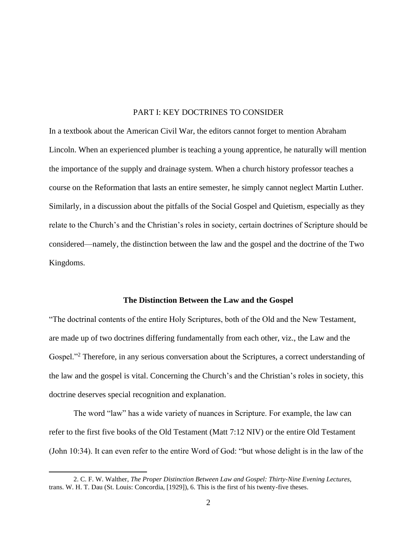# PART I: KEY DOCTRINES TO CONSIDER

<span id="page-4-0"></span>In a textbook about the American Civil War, the editors cannot forget to mention Abraham Lincoln. When an experienced plumber is teaching a young apprentice, he naturally will mention the importance of the supply and drainage system. When a church history professor teaches a course on the Reformation that lasts an entire semester, he simply cannot neglect Martin Luther. Similarly, in a discussion about the pitfalls of the Social Gospel and Quietism, especially as they relate to the Church's and the Christian's roles in society, certain doctrines of Scripture should be considered—namely, the distinction between the law and the gospel and the doctrine of the Two Kingdoms.

#### **The Distinction Between the Law and the Gospel**

<span id="page-4-1"></span>"The doctrinal contents of the entire Holy Scriptures, both of the Old and the New Testament, are made up of two doctrines differing fundamentally from each other, viz., the Law and the Gospel."<sup>2</sup> Therefore, in any serious conversation about the Scriptures, a correct understanding of the law and the gospel is vital. Concerning the Church's and the Christian's roles in society, this doctrine deserves special recognition and explanation.

The word "law" has a wide variety of nuances in Scripture. For example, the law can refer to the first five books of the Old Testament (Matt 7:12 NIV) or the entire Old Testament (John 10:34). It can even refer to the entire Word of God: "but whose delight is in the law of the

<sup>2.</sup> C. F. W. Walther, *The Proper Distinction Between Law and Gospel: Thirty-Nine Evening Lectures*, trans. W. H. T. Dau (St. Louis: Concordia, [1929]), 6. This is the first of his twenty-five theses.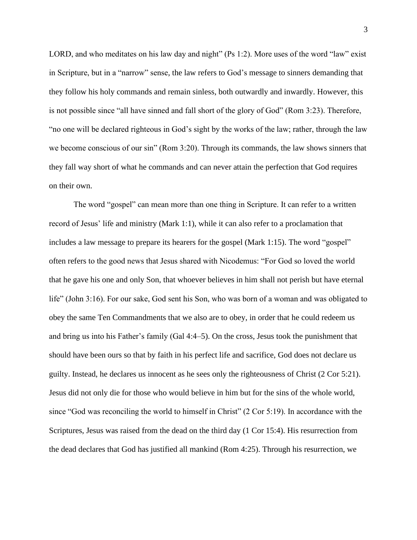LORD, and who meditates on his law day and night" (Ps 1:2). More uses of the word "law" exist in Scripture, but in a "narrow" sense, the law refers to God's message to sinners demanding that they follow his holy commands and remain sinless, both outwardly and inwardly. However, this is not possible since "all have sinned and fall short of the glory of God" (Rom 3:23). Therefore, "no one will be declared righteous in God's sight by the works of the law; rather, through the law we become conscious of our sin" (Rom 3:20). Through its commands, the law shows sinners that they fall way short of what he commands and can never attain the perfection that God requires on their own.

The word "gospel" can mean more than one thing in Scripture. It can refer to a written record of Jesus' life and ministry (Mark 1:1), while it can also refer to a proclamation that includes a law message to prepare its hearers for the gospel (Mark 1:15). The word "gospel" often refers to the good news that Jesus shared with Nicodemus: "For God so loved the world that he gave his one and only Son, that whoever believes in him shall not perish but have eternal life" (John 3:16). For our sake, God sent his Son, who was born of a woman and was obligated to obey the same Ten Commandments that we also are to obey, in order that he could redeem us and bring us into his Father's family (Gal 4:4–5). On the cross, Jesus took the punishment that should have been ours so that by faith in his perfect life and sacrifice, God does not declare us guilty. Instead, he declares us innocent as he sees only the righteousness of Christ (2 Cor 5:21). Jesus did not only die for those who would believe in him but for the sins of the whole world, since "God was reconciling the world to himself in Christ" (2 Cor 5:19). In accordance with the Scriptures, Jesus was raised from the dead on the third day (1 Cor 15:4). His resurrection from the dead declares that God has justified all mankind (Rom 4:25). Through his resurrection, we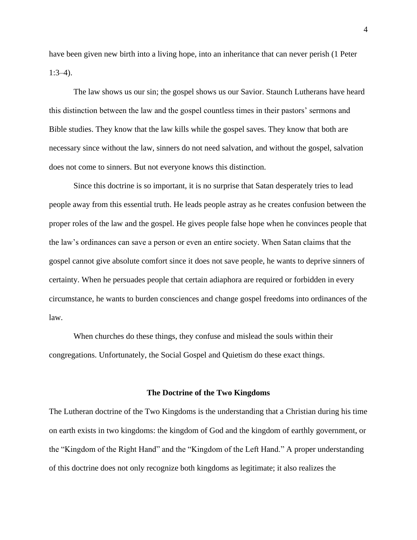have been given new birth into a living hope, into an inheritance that can never perish (1 Peter 1:3–4).

The law shows us our sin; the gospel shows us our Savior. Staunch Lutherans have heard this distinction between the law and the gospel countless times in their pastors' sermons and Bible studies. They know that the law kills while the gospel saves. They know that both are necessary since without the law, sinners do not need salvation, and without the gospel, salvation does not come to sinners. But not everyone knows this distinction.

Since this doctrine is so important, it is no surprise that Satan desperately tries to lead people away from this essential truth. He leads people astray as he creates confusion between the proper roles of the law and the gospel. He gives people false hope when he convinces people that the law's ordinances can save a person or even an entire society. When Satan claims that the gospel cannot give absolute comfort since it does not save people, he wants to deprive sinners of certainty. When he persuades people that certain adiaphora are required or forbidden in every circumstance, he wants to burden consciences and change gospel freedoms into ordinances of the law.

When churches do these things, they confuse and mislead the souls within their congregations. Unfortunately, the Social Gospel and Quietism do these exact things.

#### **The Doctrine of the Two Kingdoms**

<span id="page-6-0"></span>The Lutheran doctrine of the Two Kingdoms is the understanding that a Christian during his time on earth exists in two kingdoms: the kingdom of God and the kingdom of earthly government, or the "Kingdom of the Right Hand" and the "Kingdom of the Left Hand." A proper understanding of this doctrine does not only recognize both kingdoms as legitimate; it also realizes the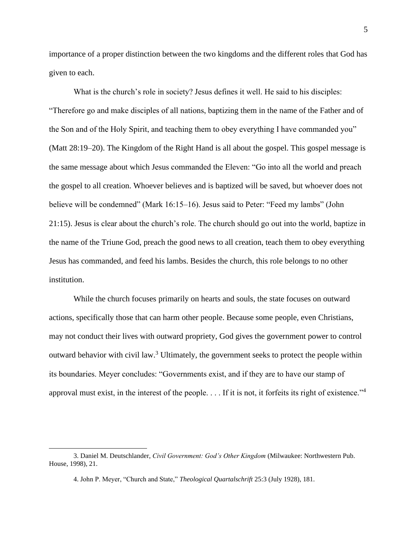importance of a proper distinction between the two kingdoms and the different roles that God has given to each.

What is the church's role in society? Jesus defines it well. He said to his disciples: "Therefore go and make disciples of all nations, baptizing them in the name of the Father and of the Son and of the Holy Spirit, and teaching them to obey everything I have commanded you" (Matt 28:19–20). The Kingdom of the Right Hand is all about the gospel. This gospel message is the same message about which Jesus commanded the Eleven: "Go into all the world and preach the gospel to all creation. Whoever believes and is baptized will be saved, but whoever does not believe will be condemned" (Mark 16:15–16). Jesus said to Peter: "Feed my lambs" (John 21:15). Jesus is clear about the church's role. The church should go out into the world, baptize in the name of the Triune God, preach the good news to all creation, teach them to obey everything Jesus has commanded, and feed his lambs. Besides the church, this role belongs to no other institution.

While the church focuses primarily on hearts and souls, the state focuses on outward actions, specifically those that can harm other people. Because some people, even Christians, may not conduct their lives with outward propriety, God gives the government power to control outward behavior with civil law.<sup>3</sup> Ultimately, the government seeks to protect the people within its boundaries. Meyer concludes: "Governments exist, and if they are to have our stamp of approval must exist, in the interest of the people. . . . If it is not, it forfeits its right of existence."<sup>4</sup>

<sup>3.</sup> Daniel M. Deutschlander, *Civil Government: God's Other Kingdom* (Milwaukee: Northwestern Pub. House, 1998), 21.

<sup>4.</sup> John P. Meyer, "Church and State," *Theological Quartalschrift* 25:3 (July 1928), 181.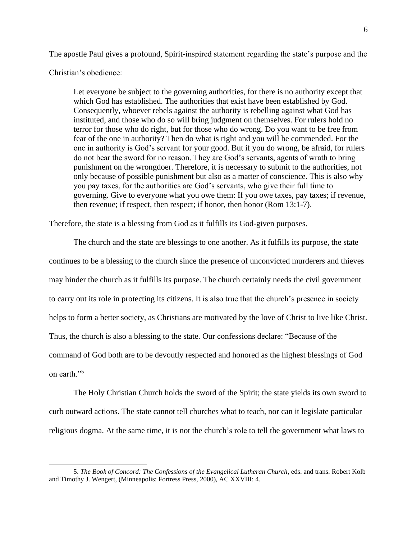The apostle Paul gives a profound, Spirit-inspired statement regarding the state's purpose and the

Christian's obedience:

Let everyone be subject to the governing authorities, for there is no authority except that which God has established. The authorities that exist have been established by God. Consequently, whoever rebels against the authority is rebelling against what God has instituted, and those who do so will bring judgment on themselves. For rulers hold no terror for those who do right, but for those who do wrong. Do you want to be free from fear of the one in authority? Then do what is right and you will be commended. For the one in authority is God's servant for your good. But if you do wrong, be afraid, for rulers do not bear the sword for no reason. They are God's servants, agents of wrath to bring punishment on the wrongdoer. Therefore, it is necessary to submit to the authorities, not only because of possible punishment but also as a matter of conscience. This is also why you pay taxes, for the authorities are God's servants, who give their full time to governing. Give to everyone what you owe them: If you owe taxes, pay taxes; if revenue, then revenue; if respect, then respect; if honor, then honor (Rom 13:1-7).

Therefore, the state is a blessing from God as it fulfills its God-given purposes.

The church and the state are blessings to one another. As it fulfills its purpose, the state continues to be a blessing to the church since the presence of unconvicted murderers and thieves may hinder the church as it fulfills its purpose. The church certainly needs the civil government to carry out its role in protecting its citizens. It is also true that the church's presence in society helps to form a better society, as Christians are motivated by the love of Christ to live like Christ. Thus, the church is also a blessing to the state. Our confessions declare: "Because of the command of God both are to be devoutly respected and honored as the highest blessings of God on earth."<sup>5</sup>

The Holy Christian Church holds the sword of the Spirit; the state yields its own sword to curb outward actions. The state cannot tell churches what to teach, nor can it legislate particular religious dogma. At the same time, it is not the church's role to tell the government what laws to

<sup>5.</sup> *The Book of Concord: The Confessions of the Evangelical Lutheran Church*, eds. and trans. Robert Kolb and Timothy J. Wengert, (Minneapolis: Fortress Press, 2000), AC XXVIII: 4.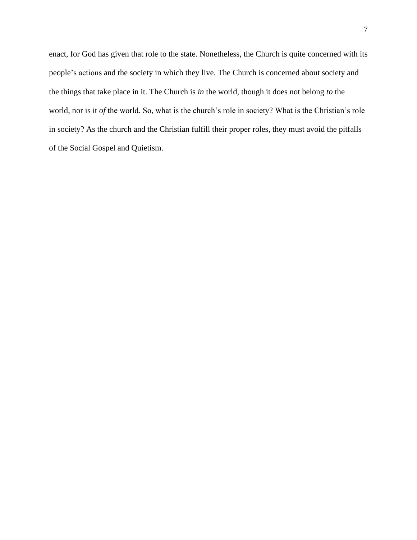<span id="page-9-0"></span>enact, for God has given that role to the state. Nonetheless, the Church is quite concerned with its people's actions and the society in which they live. The Church is concerned about society and the things that take place in it. The Church is *in* the world, though it does not belong *to* the world, nor is it *of* the world. So, what is the church's role in society? What is the Christian's role in society? As the church and the Christian fulfill their proper roles, they must avoid the pitfalls of the Social Gospel and Quietism.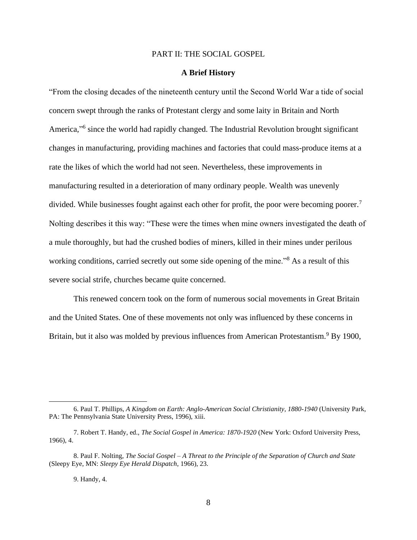### PART II: THE SOCIAL GOSPEL

### **A Brief History**

<span id="page-10-0"></span>"From the closing decades of the nineteenth century until the Second World War a tide of social concern swept through the ranks of Protestant clergy and some laity in Britain and North America,"<sup>6</sup> since the world had rapidly changed. The Industrial Revolution brought significant changes in manufacturing, providing machines and factories that could mass-produce items at a rate the likes of which the world had not seen. Nevertheless, these improvements in manufacturing resulted in a deterioration of many ordinary people. Wealth was unevenly divided. While businesses fought against each other for profit, the poor were becoming poorer.<sup>7</sup> Nolting describes it this way: "These were the times when mine owners investigated the death of a mule thoroughly, but had the crushed bodies of miners, killed in their mines under perilous working conditions, carried secretly out some side opening of the mine."<sup>8</sup> As a result of this severe social strife, churches became quite concerned.

This renewed concern took on the form of numerous social movements in Great Britain and the United States. One of these movements not only was influenced by these concerns in Britain, but it also was molded by previous influences from American Protestantism.<sup>9</sup> By 1900,

9. Handy, 4.

<sup>6.</sup> Paul T. Phillips, *A Kingdom on Earth: Anglo-American Social Christianity, 1880-1940* (University Park, PA: The Pennsylvania State University Press, 1996), xiii.

<sup>7.</sup> Robert T. Handy, ed., *The Social Gospel in America: 1870-1920* (New York: Oxford University Press, 1966), 4.

<sup>8.</sup> Paul F. Nolting, *The Social Gospel – A Threat to the Principle of the Separation of Church and State* (Sleepy Eye, MN: *Sleepy Eye Herald Dispatch*, 1966), 23.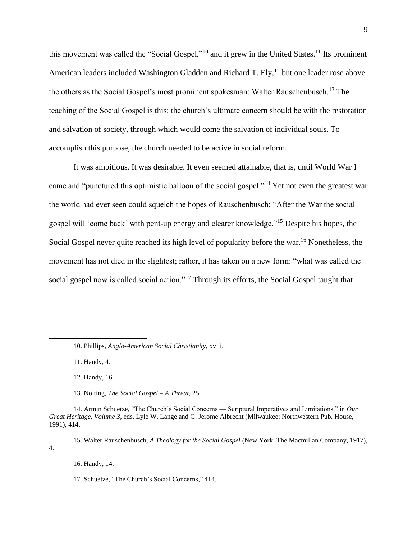this movement was called the "Social Gospel,"<sup>10</sup> and it grew in the United States.<sup>11</sup> Its prominent American leaders included Washington Gladden and Richard T. Ely,<sup>12</sup> but one leader rose above the others as the Social Gospel's most prominent spokesman: Walter Rauschenbusch.<sup>13</sup> The teaching of the Social Gospel is this: the church's ultimate concern should be with the restoration and salvation of society, through which would come the salvation of individual souls. To accomplish this purpose, the church needed to be active in social reform.

It was ambitious. It was desirable. It even seemed attainable, that is, until World War I came and "punctured this optimistic balloon of the social gospel."<sup>14</sup> Yet not even the greatest war the world had ever seen could squelch the hopes of Rauschenbusch: "After the War the social gospel will 'come back' with pent-up energy and clearer knowledge."<sup>15</sup> Despite his hopes, the Social Gospel never quite reached its high level of popularity before the war.<sup>16</sup> Nonetheless, the movement has not died in the slightest; rather, it has taken on a new form: "what was called the social gospel now is called social action."<sup>17</sup> Through its efforts, the Social Gospel taught that

11. Handy, 4.

12. Handy, 16.

13. Nolting, *The Social Gospel – A Threat*, 25.

14. Armin Schuetze, "The Church's Social Concerns — Scriptural Imperatives and Limitations," in *Our Great Heritage, Volume 3*, eds. Lyle W. Lange and G. Jerome Albrecht (Milwaukee: Northwestern Pub. House, 1991), 414.

15. Walter Rauschenbusch, *A Theology for the Social Gospel* (New York: The Macmillan Company, 1917), 4.

16. Handy, 14.

17. Schuetze, "The Church's Social Concerns," 414.

<sup>10.</sup> Phillips, *Anglo-American Social Christianity*, xviii.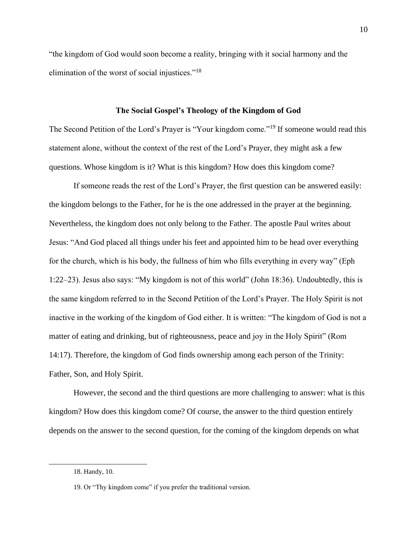"the kingdom of God would soon become a reality, bringing with it social harmony and the elimination of the worst of social injustices."<sup>18</sup>

### **The Social Gospel's Theology of the Kingdom of God**

<span id="page-12-0"></span>The Second Petition of the Lord's Prayer is "Your kingdom come."<sup>19</sup> If someone would read this statement alone, without the context of the rest of the Lord's Prayer, they might ask a few questions. Whose kingdom is it? What is this kingdom? How does this kingdom come?

If someone reads the rest of the Lord's Prayer, the first question can be answered easily: the kingdom belongs to the Father, for he is the one addressed in the prayer at the beginning. Nevertheless, the kingdom does not only belong to the Father. The apostle Paul writes about Jesus: "And God placed all things under his feet and appointed him to be head over everything for the church, which is his body, the fullness of him who fills everything in every way" (Eph 1:22–23). Jesus also says: "My kingdom is not of this world" (John 18:36). Undoubtedly, this is the same kingdom referred to in the Second Petition of the Lord's Prayer. The Holy Spirit is not inactive in the working of the kingdom of God either. It is written: "The kingdom of God is not a matter of eating and drinking, but of righteousness, peace and joy in the Holy Spirit" (Rom 14:17). Therefore, the kingdom of God finds ownership among each person of the Trinity: Father, Son, and Holy Spirit.

However, the second and the third questions are more challenging to answer: what is this kingdom? How does this kingdom come? Of course, the answer to the third question entirely depends on the answer to the second question, for the coming of the kingdom depends on what

<sup>18.</sup> Handy, 10.

<sup>19.</sup> Or "Thy kingdom come" if you prefer the traditional version.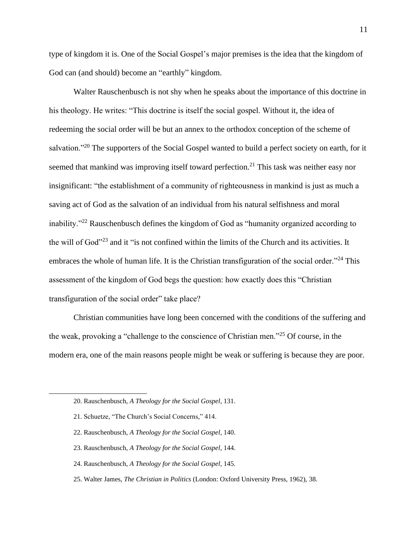type of kingdom it is. One of the Social Gospel's major premises is the idea that the kingdom of God can (and should) become an "earthly" kingdom.

Walter Rauschenbusch is not shy when he speaks about the importance of this doctrine in his theology. He writes: "This doctrine is itself the social gospel. Without it, the idea of redeeming the social order will be but an annex to the orthodox conception of the scheme of salvation."<sup>20</sup> The supporters of the Social Gospel wanted to build a perfect society on earth, for it seemed that mankind was improving itself toward perfection.<sup>21</sup> This task was neither easy nor insignificant: "the establishment of a community of righteousness in mankind is just as much a saving act of God as the salvation of an individual from his natural selfishness and moral inability."<sup>22</sup> Rauschenbusch defines the kingdom of God as "humanity organized according to the will of God"<sup>23</sup> and it "is not confined within the limits of the Church and its activities. It embraces the whole of human life. It is the Christian transfiguration of the social order."<sup>24</sup> This assessment of the kingdom of God begs the question: how exactly does this "Christian transfiguration of the social order" take place?

Christian communities have long been concerned with the conditions of the suffering and the weak, provoking a "challenge to the conscience of Christian men."<sup>25</sup> Of course, in the modern era, one of the main reasons people might be weak or suffering is because they are poor.

- 22. Rauschenbusch, *A Theology for the Social Gospel*, 140.
- 23. Rauschenbusch, *A Theology for the Social Gospel*, 144.
- 24. Rauschenbusch, *A Theology for the Social Gospel*, 145.
- 25. Walter James, *The Christian in Politics* (London: Oxford University Press, 1962), 38.

<sup>20.</sup> Rauschenbusch, *A Theology for the Social Gospel*, 131.

<sup>21.</sup> Schuetze, "The Church's Social Concerns," 414.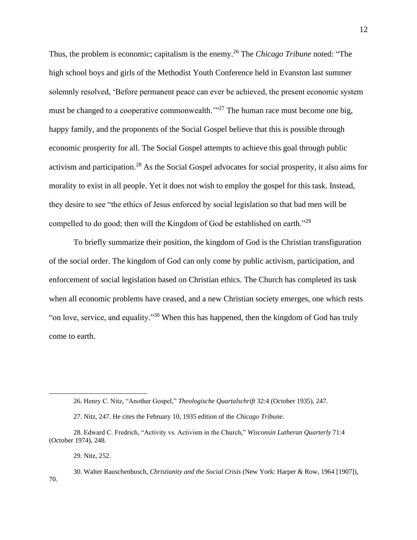Thus, the problem is economic; capitalism is the enemy.<sup>26</sup> The *Chicago Tribune* noted: "The high school boys and girls of the Methodist Youth Conference held in Evanston last summer solemnly resolved, 'Before permanent peace can ever be achieved, the present economic system must be changed to a cooperative commonwealth. $\frac{1}{27}$  The human race must become one big, happy family, and the proponents of the Social Gospel believe that this is possible through economic prosperity for all. The Social Gospel attempts to achieve this goal through public activism and participation.<sup>28</sup> As the Social Gospel advocates for social prosperity, it also aims for morality to exist in all people. Yet it does not wish to employ the gospel for this task. Instead, they desire to see "the ethics of Jesus enforced by social legislation so that bad men will be compelled to do good; then will the Kingdom of God be established on earth."<sup>29</sup>

To briefly summarize their position, the kingdom of God is the Christian transfiguration of the social order. The kingdom of God can only come by public activism, participation, and enforcement of social legislation based on Christian ethics. The Church has completed its task when all economic problems have ceased, and a new Christian society emerges, one which rests "on love, service, and equality."<sup>30</sup> When this has happened, then the kingdom of God has truly come to earth.

<sup>26.</sup> Henry C. Nitz, "Another Gospel," *Theologische Quartalschrift* 32:4 (October 1935), 247.

<sup>27.</sup> Nitz, 247. He cites the February 10, 1935 edition of the *Chicago Tribune*.

<sup>28.</sup> Edward C. Fredrich, "Activity vs. Activism in the Church," *Wisconsin Lutheran Quarterly* 71:4 (October 1974), 248.

<sup>29.</sup> Nitz, 252.

<sup>30.</sup> Walter Rauschenbusch, *Christianity and the Social Crisis* (New York: Harper & Row, 1964 [1907]), 70.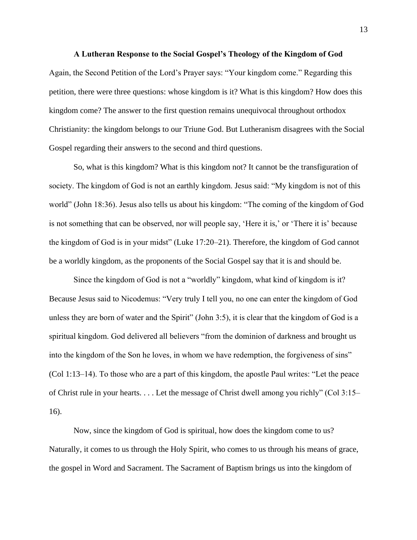#### **A Lutheran Response to the Social Gospel's Theology of the Kingdom of God**

<span id="page-15-0"></span>Again, the Second Petition of the Lord's Prayer says: "Your kingdom come." Regarding this petition, there were three questions: whose kingdom is it? What is this kingdom? How does this kingdom come? The answer to the first question remains unequivocal throughout orthodox Christianity: the kingdom belongs to our Triune God. But Lutheranism disagrees with the Social Gospel regarding their answers to the second and third questions.

So, what is this kingdom? What is this kingdom not? It cannot be the transfiguration of society. The kingdom of God is not an earthly kingdom. Jesus said: "My kingdom is not of this world" (John 18:36). Jesus also tells us about his kingdom: "The coming of the kingdom of God is not something that can be observed, nor will people say, 'Here it is,' or 'There it is' because the kingdom of God is in your midst" (Luke 17:20–21). Therefore, the kingdom of God cannot be a worldly kingdom, as the proponents of the Social Gospel say that it is and should be.

Since the kingdom of God is not a "worldly" kingdom, what kind of kingdom is it? Because Jesus said to Nicodemus: "Very truly I tell you, no one can enter the kingdom of God unless they are born of water and the Spirit" (John 3:5), it is clear that the kingdom of God is a spiritual kingdom. God delivered all believers "from the dominion of darkness and brought us into the kingdom of the Son he loves, in whom we have redemption, the forgiveness of sins" (Col 1:13–14). To those who are a part of this kingdom, the apostle Paul writes: "Let the peace of Christ rule in your hearts. . . . Let the message of Christ dwell among you richly" (Col 3:15– 16).

Now, since the kingdom of God is spiritual, how does the kingdom come to us? Naturally, it comes to us through the Holy Spirit, who comes to us through his means of grace, the gospel in Word and Sacrament. The Sacrament of Baptism brings us into the kingdom of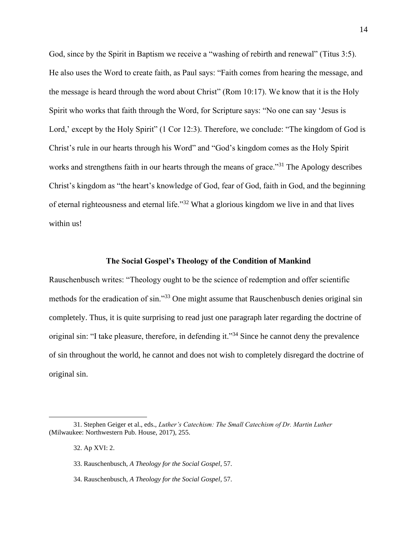God, since by the Spirit in Baptism we receive a "washing of rebirth and renewal" (Titus 3:5). He also uses the Word to create faith, as Paul says: "Faith comes from hearing the message, and the message is heard through the word about Christ" (Rom 10:17). We know that it is the Holy Spirit who works that faith through the Word, for Scripture says: "No one can say 'Jesus is Lord,' except by the Holy Spirit" (1 Cor 12:3). Therefore, we conclude: "The kingdom of God is Christ's rule in our hearts through his Word" and "God's kingdom comes as the Holy Spirit works and strengthens faith in our hearts through the means of grace."<sup>31</sup> The Apology describes Christ's kingdom as "the heart's knowledge of God, fear of God, faith in God, and the beginning of eternal righteousness and eternal life."<sup>32</sup> What a glorious kingdom we live in and that lives within us!

### **The Social Gospel's Theology of the Condition of Mankind**

<span id="page-16-0"></span>Rauschenbusch writes: "Theology ought to be the science of redemption and offer scientific methods for the eradication of sin."<sup>33</sup> One might assume that Rauschenbusch denies original sin completely. Thus, it is quite surprising to read just one paragraph later regarding the doctrine of original sin: "I take pleasure, therefore, in defending it."<sup>34</sup> Since he cannot deny the prevalence of sin throughout the world, he cannot and does not wish to completely disregard the doctrine of original sin.

<sup>31.</sup> Stephen Geiger et al., eds., *Luther's Catechism: The Small Catechism of Dr. Martin Luther*  (Milwaukee: Northwestern Pub. House, 2017), 255.

<sup>32.</sup> Ap XVI: 2.

<sup>33.</sup> Rauschenbusch, *A Theology for the Social Gospel*, 57.

<sup>34.</sup> Rauschenbusch, *A Theology for the Social Gospel*, 57.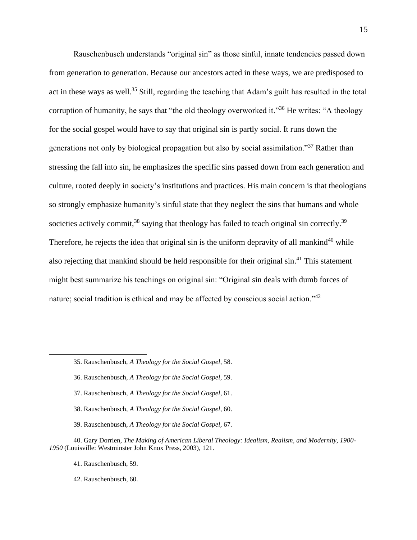Rauschenbusch understands "original sin" as those sinful, innate tendencies passed down from generation to generation. Because our ancestors acted in these ways, we are predisposed to act in these ways as well.<sup>35</sup> Still, regarding the teaching that Adam's guilt has resulted in the total corruption of humanity, he says that "the old theology overworked it."<sup>36</sup> He writes: "A theology for the social gospel would have to say that original sin is partly social. It runs down the generations not only by biological propagation but also by social assimilation."<sup>37</sup> Rather than stressing the fall into sin, he emphasizes the specific sins passed down from each generation and culture, rooted deeply in society's institutions and practices. His main concern is that theologians so strongly emphasize humanity's sinful state that they neglect the sins that humans and whole societies actively commit,  $38$  saying that theology has failed to teach original sin correctly.  $39$ Therefore, he rejects the idea that original sin is the uniform depravity of all mankind<sup>40</sup> while also rejecting that mankind should be held responsible for their original sin.<sup>41</sup> This statement might best summarize his teachings on original sin: "Original sin deals with dumb forces of nature; social tradition is ethical and may be affected by conscious social action."<sup>42</sup>

- 36. Rauschenbusch, *A Theology for the Social Gospel*, 59.
- 37. Rauschenbusch, *A Theology for the Social Gospel*, 61.
- 38. Rauschenbusch, *A Theology for the Social Gospel*, 60.
- 39. Rauschenbusch, *A Theology for the Social Gospel*, 67.

40. Gary Dorrien, *The Making of American Liberal Theology: Idealism, Realism, and Modernity, 1900- 1950* (Louisville: Westminster John Knox Press, 2003), 121.

41. Rauschenbusch, 59.

42. Rauschenbusch, 60.

<sup>35.</sup> Rauschenbusch, *A Theology for the Social Gospel*, 58.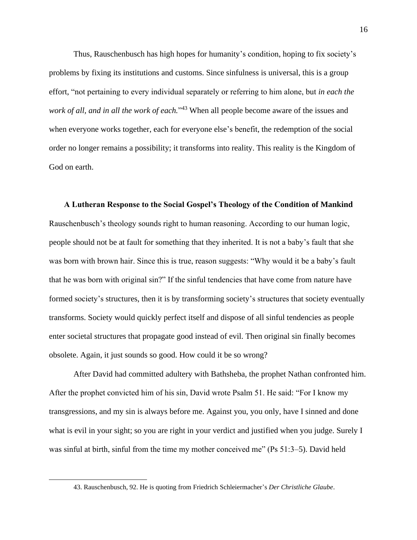Thus, Rauschenbusch has high hopes for humanity's condition, hoping to fix society's problems by fixing its institutions and customs. Since sinfulness is universal, this is a group effort, "not pertaining to every individual separately or referring to him alone, but *in each the work of all, and in all the work of each.*" <sup>43</sup> When all people become aware of the issues and when everyone works together, each for everyone else's benefit, the redemption of the social order no longer remains a possibility; it transforms into reality. This reality is the Kingdom of God on earth.

<span id="page-18-0"></span>**A Lutheran Response to the Social Gospel's Theology of the Condition of Mankind** Rauschenbusch's theology sounds right to human reasoning. According to our human logic, people should not be at fault for something that they inherited. It is not a baby's fault that she was born with brown hair. Since this is true, reason suggests: "Why would it be a baby's fault that he was born with original sin?" If the sinful tendencies that have come from nature have formed society's structures, then it is by transforming society's structures that society eventually transforms. Society would quickly perfect itself and dispose of all sinful tendencies as people enter societal structures that propagate good instead of evil. Then original sin finally becomes obsolete. Again, it just sounds so good. How could it be so wrong?

After David had committed adultery with Bathsheba, the prophet Nathan confronted him. After the prophet convicted him of his sin, David wrote Psalm 51. He said: "For I know my transgressions, and my sin is always before me. Against you, you only, have I sinned and done what is evil in your sight; so you are right in your verdict and justified when you judge. Surely I was sinful at birth, sinful from the time my mother conceived me" (Ps 51:3–5). David held

<sup>43.</sup> Rauschenbusch, 92. He is quoting from Friedrich Schleiermacher's *Der Christliche Glaube*.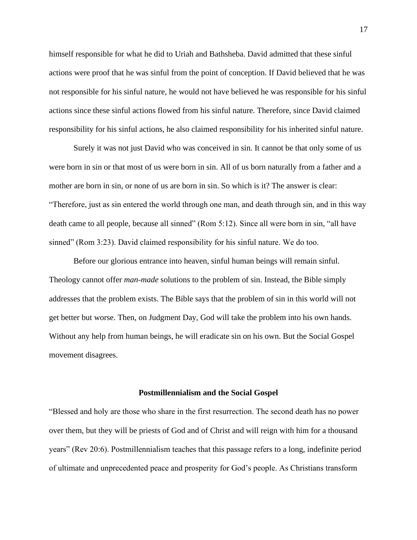himself responsible for what he did to Uriah and Bathsheba. David admitted that these sinful actions were proof that he was sinful from the point of conception. If David believed that he was not responsible for his sinful nature, he would not have believed he was responsible for his sinful actions since these sinful actions flowed from his sinful nature. Therefore, since David claimed responsibility for his sinful actions, he also claimed responsibility for his inherited sinful nature.

Surely it was not just David who was conceived in sin. It cannot be that only some of us were born in sin or that most of us were born in sin. All of us born naturally from a father and a mother are born in sin, or none of us are born in sin. So which is it? The answer is clear: "Therefore, just as sin entered the world through one man, and death through sin, and in this way death came to all people, because all sinned" (Rom 5:12). Since all were born in sin, "all have sinned" (Rom 3:23). David claimed responsibility for his sinful nature. We do too.

Before our glorious entrance into heaven, sinful human beings will remain sinful. Theology cannot offer *man-made* solutions to the problem of sin. Instead, the Bible simply addresses that the problem exists. The Bible says that the problem of sin in this world will not get better but worse. Then, on Judgment Day, God will take the problem into his own hands. Without any help from human beings, he will eradicate sin on his own. But the Social Gospel movement disagrees.

#### **Postmillennialism and the Social Gospel**

<span id="page-19-0"></span>"Blessed and holy are those who share in the first resurrection. The second death has no power over them, but they will be priests of God and of Christ and will reign with him for a thousand years" (Rev 20:6). Postmillennialism teaches that this passage refers to a long, indefinite period of ultimate and unprecedented peace and prosperity for God's people. As Christians transform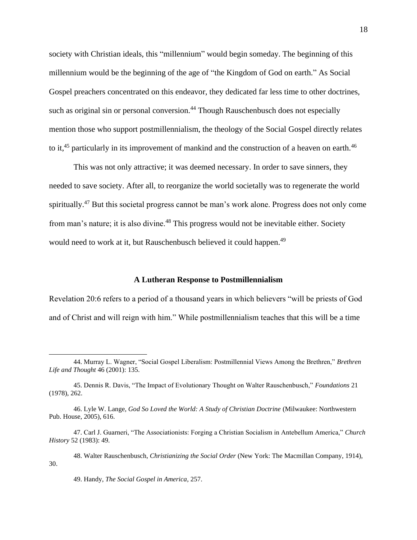society with Christian ideals, this "millennium" would begin someday. The beginning of this millennium would be the beginning of the age of "the Kingdom of God on earth." As Social Gospel preachers concentrated on this endeavor, they dedicated far less time to other doctrines, such as original sin or personal conversion.<sup>44</sup> Though Rauschenbusch does not especially mention those who support postmillennialism, the theology of the Social Gospel directly relates to it,<sup>45</sup> particularly in its improvement of mankind and the construction of a heaven on earth.<sup>46</sup>

This was not only attractive; it was deemed necessary. In order to save sinners, they needed to save society. After all, to reorganize the world societally was to regenerate the world spiritually.<sup>47</sup> But this societal progress cannot be man's work alone. Progress does not only come from man's nature; it is also divine.<sup>48</sup> This progress would not be inevitable either. Society would need to work at it, but Rauschenbusch believed it could happen.<sup>49</sup>

#### **A Lutheran Response to Postmillennialism**

<span id="page-20-0"></span>Revelation 20:6 refers to a period of a thousand years in which believers "will be priests of God and of Christ and will reign with him." While postmillennialism teaches that this will be a time

<sup>44.</sup> Murray L. Wagner, "Social Gospel Liberalism: Postmillennial Views Among the Brethren," *Brethren Life and Thought* 46 (2001): 135.

<sup>45.</sup> Dennis R. Davis, "The Impact of Evolutionary Thought on Walter Rauschenbusch," *Foundations* 21 (1978), 262.

<sup>46.</sup> Lyle W. Lange, *God So Loved the World: A Study of Christian Doctrine* (Milwaukee: Northwestern Pub. House, 2005), 616.

<sup>47.</sup> Carl J. Guarneri, "The Associationists: Forging a Christian Socialism in Antebellum America," *Church History* 52 (1983): 49.

<sup>48.</sup> Walter Rauschenbusch, *Christianizing the Social Order* (New York: The Macmillan Company, 1914), 30.

<sup>49.</sup> Handy, *The Social Gospel in America*, 257.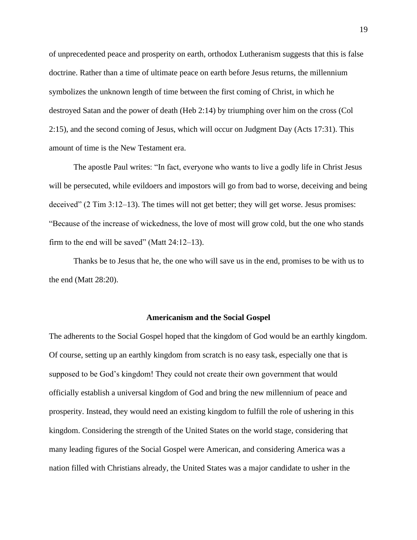of unprecedented peace and prosperity on earth, orthodox Lutheranism suggests that this is false doctrine. Rather than a time of ultimate peace on earth before Jesus returns, the millennium symbolizes the unknown length of time between the first coming of Christ, in which he destroyed Satan and the power of death (Heb 2:14) by triumphing over him on the cross (Col 2:15), and the second coming of Jesus, which will occur on Judgment Day (Acts 17:31). This amount of time is the New Testament era.

The apostle Paul writes: "In fact, everyone who wants to live a godly life in Christ Jesus will be persecuted, while evildoers and impostors will go from bad to worse, deceiving and being deceived" (2 Tim 3:12–13). The times will not get better; they will get worse. Jesus promises: "Because of the increase of wickedness, the love of most will grow cold, but the one who stands firm to the end will be saved" (Matt  $24:12-13$ ).

Thanks be to Jesus that he, the one who will save us in the end, promises to be with us to the end (Matt 28:20).

#### **Americanism and the Social Gospel**

<span id="page-21-0"></span>The adherents to the Social Gospel hoped that the kingdom of God would be an earthly kingdom. Of course, setting up an earthly kingdom from scratch is no easy task, especially one that is supposed to be God's kingdom! They could not create their own government that would officially establish a universal kingdom of God and bring the new millennium of peace and prosperity. Instead, they would need an existing kingdom to fulfill the role of ushering in this kingdom. Considering the strength of the United States on the world stage, considering that many leading figures of the Social Gospel were American, and considering America was a nation filled with Christians already, the United States was a major candidate to usher in the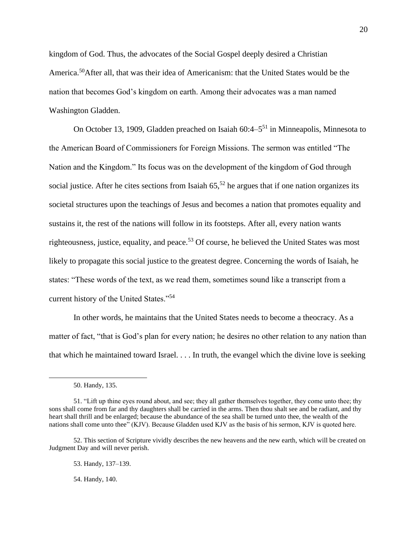kingdom of God. Thus, the advocates of the Social Gospel deeply desired a Christian America.<sup>50</sup>After all, that was their idea of Americanism: that the United States would be the nation that becomes God's kingdom on earth. Among their advocates was a man named Washington Gladden.

On October 13, 1909, Gladden preached on Isaiah 60:4–5<sup>51</sup> in Minneapolis, Minnesota to the American Board of Commissioners for Foreign Missions. The sermon was entitled "The Nation and the Kingdom." Its focus was on the development of the kingdom of God through social justice. After he cites sections from Isaiah  $65$ ,<sup>52</sup> he argues that if one nation organizes its societal structures upon the teachings of Jesus and becomes a nation that promotes equality and sustains it, the rest of the nations will follow in its footsteps. After all, every nation wants righteousness, justice, equality, and peace.<sup>53</sup> Of course, he believed the United States was most likely to propagate this social justice to the greatest degree. Concerning the words of Isaiah, he states: "These words of the text, as we read them, sometimes sound like a transcript from a current history of the United States."<sup>54</sup>

In other words, he maintains that the United States needs to become a theocracy. As a matter of fact, "that is God's plan for every nation; he desires no other relation to any nation than that which he maintained toward Israel. . . . In truth, the evangel which the divine love is seeking

54. Handy, 140.

<sup>50.</sup> Handy, 135.

<sup>51. &</sup>quot;Lift up thine eyes round about, and see; they all gather themselves together, they come unto thee; thy sons shall come from far and thy daughters shall be carried in the arms. Then thou shalt see and be radiant, and thy heart shall thrill and be enlarged; because the abundance of the sea shall be turned unto thee, the wealth of the nations shall come unto thee" (KJV). Because Gladden used KJV as the basis of his sermon, KJV is quoted here.

<sup>52.</sup> This section of Scripture vividly describes the new heavens and the new earth, which will be created on Judgment Day and will never perish.

<sup>53.</sup> Handy, 137–139.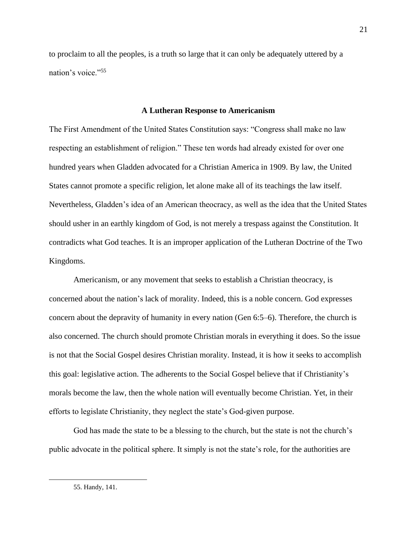to proclaim to all the peoples, is a truth so large that it can only be adequately uttered by a nation's voice."<sup>55</sup>

#### **A Lutheran Response to Americanism**

<span id="page-23-0"></span>The First Amendment of the United States Constitution says: "Congress shall make no law respecting an establishment of religion." These ten words had already existed for over one hundred years when Gladden advocated for a Christian America in 1909. By law, the United States cannot promote a specific religion, let alone make all of its teachings the law itself. Nevertheless, Gladden's idea of an American theocracy, as well as the idea that the United States should usher in an earthly kingdom of God, is not merely a trespass against the Constitution. It contradicts what God teaches. It is an improper application of the Lutheran Doctrine of the Two Kingdoms.

Americanism, or any movement that seeks to establish a Christian theocracy, is concerned about the nation's lack of morality. Indeed, this is a noble concern. God expresses concern about the depravity of humanity in every nation (Gen 6:5–6). Therefore, the church is also concerned. The church should promote Christian morals in everything it does. So the issue is not that the Social Gospel desires Christian morality. Instead, it is how it seeks to accomplish this goal: legislative action. The adherents to the Social Gospel believe that if Christianity's morals become the law, then the whole nation will eventually become Christian. Yet, in their efforts to legislate Christianity, they neglect the state's God-given purpose.

God has made the state to be a blessing to the church, but the state is not the church's public advocate in the political sphere. It simply is not the state's role, for the authorities are

<sup>55.</sup> Handy, 141.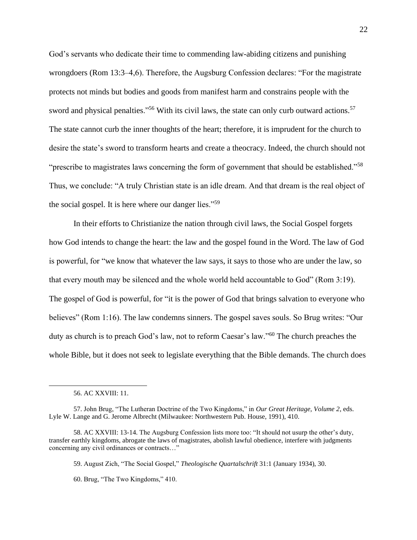God's servants who dedicate their time to commending law-abiding citizens and punishing wrongdoers (Rom 13:3–4,6). Therefore, the Augsburg Confession declares: "For the magistrate protects not minds but bodies and goods from manifest harm and constrains people with the sword and physical penalties."<sup>56</sup> With its civil laws, the state can only curb outward actions.<sup>57</sup> The state cannot curb the inner thoughts of the heart; therefore, it is imprudent for the church to desire the state's sword to transform hearts and create a theocracy. Indeed, the church should not "prescribe to magistrates laws concerning the form of government that should be established."<sup>58</sup> Thus, we conclude: "A truly Christian state is an idle dream. And that dream is the real object of the social gospel. It is here where our danger lies."<sup>59</sup>

In their efforts to Christianize the nation through civil laws, the Social Gospel forgets how God intends to change the heart: the law and the gospel found in the Word. The law of God is powerful, for "we know that whatever the law says, it says to those who are under the law, so that every mouth may be silenced and the whole world held accountable to God" (Rom 3:19). The gospel of God is powerful, for "it is the power of God that brings salvation to everyone who believes" (Rom 1:16). The law condemns sinners. The gospel saves souls. So Brug writes: "Our duty as church is to preach God's law, not to reform Caesar's law."<sup>60</sup> The church preaches the whole Bible, but it does not seek to legislate everything that the Bible demands. The church does

<sup>56.</sup> AC XXVIII: 11.

<sup>57.</sup> John Brug, "The Lutheran Doctrine of the Two Kingdoms," in *Our Great Heritage, Volume 2*, eds. Lyle W. Lange and G. Jerome Albrecht (Milwaukee: Northwestern Pub. House, 1991), 410.

<sup>58.</sup> AC XXVIII: 13-14. The Augsburg Confession lists more too: "It should not usurp the other's duty, transfer earthly kingdoms, abrogate the laws of magistrates, abolish lawful obedience, interfere with judgments concerning any civil ordinances or contracts…"

<sup>59.</sup> August Zich, "The Social Gospel," *Theologische Quartalschrift* 31:1 (January 1934), 30.

<sup>60.</sup> Brug, "The Two Kingdoms," 410.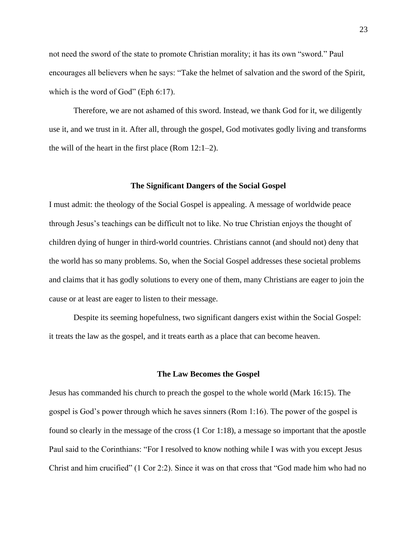not need the sword of the state to promote Christian morality; it has its own "sword." Paul encourages all believers when he says: "Take the helmet of salvation and the sword of the Spirit, which is the word of God" (Eph 6:17).

Therefore, we are not ashamed of this sword. Instead, we thank God for it, we diligently use it, and we trust in it. After all, through the gospel, God motivates godly living and transforms the will of the heart in the first place (Rom 12:1–2).

#### **The Significant Dangers of the Social Gospel**

<span id="page-25-0"></span>I must admit: the theology of the Social Gospel is appealing. A message of worldwide peace through Jesus's teachings can be difficult not to like. No true Christian enjoys the thought of children dying of hunger in third-world countries. Christians cannot (and should not) deny that the world has so many problems. So, when the Social Gospel addresses these societal problems and claims that it has godly solutions to every one of them, many Christians are eager to join the cause or at least are eager to listen to their message.

Despite its seeming hopefulness, two significant dangers exist within the Social Gospel: it treats the law as the gospel, and it treats earth as a place that can become heaven.

#### **The Law Becomes the Gospel**

<span id="page-25-1"></span>Jesus has commanded his church to preach the gospel to the whole world (Mark 16:15). The gospel is God's power through which he saves sinners (Rom 1:16). The power of the gospel is found so clearly in the message of the cross (1 Cor 1:18), a message so important that the apostle Paul said to the Corinthians: "For I resolved to know nothing while I was with you except Jesus Christ and him crucified" (1 Cor 2:2). Since it was on that cross that "God made him who had no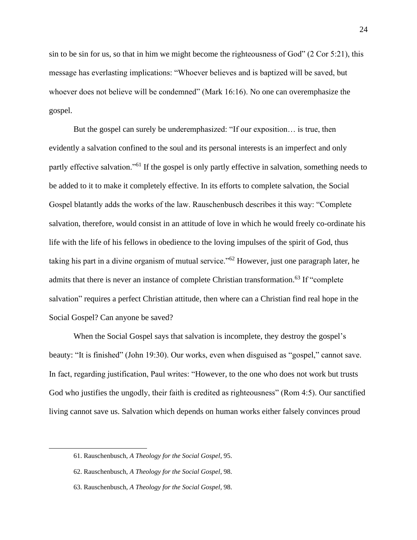sin to be sin for us, so that in him we might become the righteousness of God" (2 Cor 5:21), this message has everlasting implications: "Whoever believes and is baptized will be saved, but whoever does not believe will be condemned" (Mark 16:16). No one can overemphasize the gospel.

But the gospel can surely be underemphasized: "If our exposition… is true, then evidently a salvation confined to the soul and its personal interests is an imperfect and only partly effective salvation."<sup>61</sup> If the gospel is only partly effective in salvation, something needs to be added to it to make it completely effective. In its efforts to complete salvation, the Social Gospel blatantly adds the works of the law. Rauschenbusch describes it this way: "Complete salvation, therefore, would consist in an attitude of love in which he would freely co-ordinate his life with the life of his fellows in obedience to the loving impulses of the spirit of God, thus taking his part in a divine organism of mutual service."<sup>62</sup> However, just one paragraph later, he admits that there is never an instance of complete Christian transformation.<sup>63</sup> If "complete" salvation" requires a perfect Christian attitude, then where can a Christian find real hope in the Social Gospel? Can anyone be saved?

When the Social Gospel says that salvation is incomplete, they destroy the gospel's beauty: "It is finished" (John 19:30). Our works, even when disguised as "gospel," cannot save. In fact, regarding justification, Paul writes: "However, to the one who does not work but trusts God who justifies the ungodly, their faith is credited as righteousness" (Rom 4:5). Our sanctified living cannot save us. Salvation which depends on human works either falsely convinces proud

<sup>61.</sup> Rauschenbusch, *A Theology for the Social Gospel*, 95.

<sup>62.</sup> Rauschenbusch, *A Theology for the Social Gospel*, 98.

<sup>63.</sup> Rauschenbusch, *A Theology for the Social Gospel*, 98.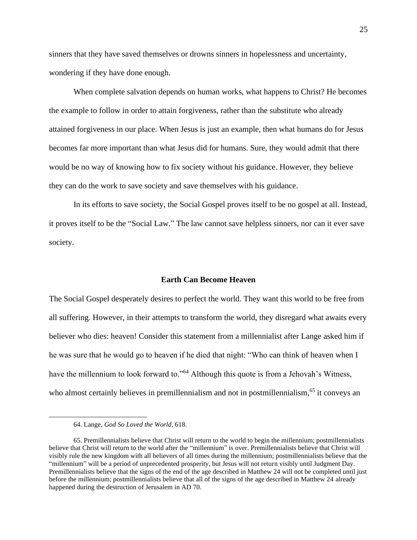sinners that they have saved themselves or drowns sinners in hopelessness and uncertainty, wondering if they have done enough.

When complete salvation depends on human works, what happens to Christ? He becomes the example to follow in order to attain forgiveness, rather than the substitute who already attained forgiveness in our place. When Jesus is just an example, then what humans do for Jesus becomes far more important than what Jesus did for humans. Sure, they would admit that there would be no way of knowing how to fix society without his guidance. However, they believe they can do the work to save society and save themselves with his guidance.

In its efforts to save society, the Social Gospel proves itself to be no gospel at all. Instead, it proves itself to be the "Social Law." The law cannot save helpless sinners, nor can it ever save society.

#### **Earth Can Become Heaven**

<span id="page-27-0"></span>The Social Gospel desperately desires to perfect the world. They want this world to be free from all suffering. However, in their attempts to transform the world, they disregard what awaits every believer who dies: heaven! Consider this statement from a millennialist after Lange asked him if he was sure that he would go to heaven if he died that night: "Who can think of heaven when I have the millennium to look forward to."<sup>64</sup> Although this quote is from a Jehovah's Witness, who almost certainly believes in premillennialism and not in postmillennialism,<sup>65</sup> it conveys an

<sup>64.</sup> Lange, *God So Loved the World*, 618.

<sup>65.</sup> Premillennialists believe that Christ will return to the world to begin the millennium; postmillennialists believe that Christ will return to the world after the "millennium" is over. Premillennialists believe that Christ will visibly rule the new kingdom with all believers of all times during the millennium; postmillennialists believe that the "millennium" will be a period of unprecedented prosperity, but Jesus will not return visibly until Judgment Day. Premillennialists believe that the signs of the end of the age described in Matthew 24 will not be completed until just before the millennium; postmillennialists believe that all of the signs of the age described in Matthew 24 already happened during the destruction of Jerusalem in AD 70.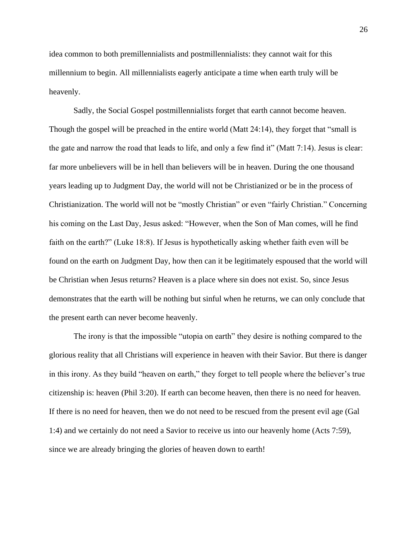idea common to both premillennialists and postmillennialists: they cannot wait for this millennium to begin. All millennialists eagerly anticipate a time when earth truly will be heavenly.

Sadly, the Social Gospel postmillennialists forget that earth cannot become heaven. Though the gospel will be preached in the entire world (Matt 24:14), they forget that "small is the gate and narrow the road that leads to life, and only a few find it" (Matt 7:14). Jesus is clear: far more unbelievers will be in hell than believers will be in heaven. During the one thousand years leading up to Judgment Day, the world will not be Christianized or be in the process of Christianization. The world will not be "mostly Christian" or even "fairly Christian." Concerning his coming on the Last Day, Jesus asked: "However, when the Son of Man comes, will he find faith on the earth?" (Luke 18:8). If Jesus is hypothetically asking whether faith even will be found on the earth on Judgment Day, how then can it be legitimately espoused that the world will be Christian when Jesus returns? Heaven is a place where sin does not exist. So, since Jesus demonstrates that the earth will be nothing but sinful when he returns, we can only conclude that the present earth can never become heavenly.

The irony is that the impossible "utopia on earth" they desire is nothing compared to the glorious reality that all Christians will experience in heaven with their Savior. But there is danger in this irony. As they build "heaven on earth," they forget to tell people where the believer's true citizenship is: heaven (Phil 3:20). If earth can become heaven, then there is no need for heaven. If there is no need for heaven, then we do not need to be rescued from the present evil age (Gal 1:4) and we certainly do not need a Savior to receive us into our heavenly home (Acts 7:59), since we are already bringing the glories of heaven down to earth!

26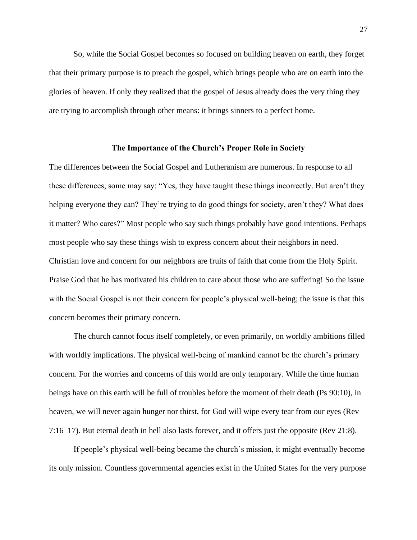So, while the Social Gospel becomes so focused on building heaven on earth, they forget that their primary purpose is to preach the gospel, which brings people who are on earth into the glories of heaven. If only they realized that the gospel of Jesus already does the very thing they are trying to accomplish through other means: it brings sinners to a perfect home.

### **The Importance of the Church's Proper Role in Society**

<span id="page-29-0"></span>The differences between the Social Gospel and Lutheranism are numerous. In response to all these differences, some may say: "Yes, they have taught these things incorrectly. But aren't they helping everyone they can? They're trying to do good things for society, aren't they? What does it matter? Who cares?" Most people who say such things probably have good intentions. Perhaps most people who say these things wish to express concern about their neighbors in need. Christian love and concern for our neighbors are fruits of faith that come from the Holy Spirit. Praise God that he has motivated his children to care about those who are suffering! So the issue with the Social Gospel is not their concern for people's physical well-being; the issue is that this concern becomes their primary concern.

The church cannot focus itself completely, or even primarily, on worldly ambitions filled with worldly implications. The physical well-being of mankind cannot be the church's primary concern. For the worries and concerns of this world are only temporary. While the time human beings have on this earth will be full of troubles before the moment of their death (Ps 90:10), in heaven, we will never again hunger nor thirst, for God will wipe every tear from our eyes (Rev 7:16–17). But eternal death in hell also lasts forever, and it offers just the opposite (Rev 21:8).

If people's physical well-being became the church's mission, it might eventually become its only mission. Countless governmental agencies exist in the United States for the very purpose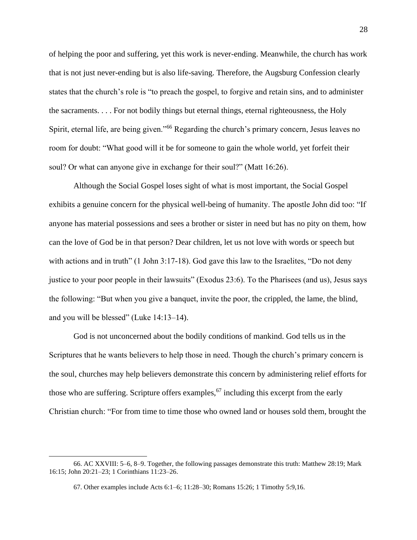of helping the poor and suffering, yet this work is never-ending. Meanwhile, the church has work that is not just never-ending but is also life-saving. Therefore, the Augsburg Confession clearly states that the church's role is "to preach the gospel, to forgive and retain sins, and to administer the sacraments. . . . For not bodily things but eternal things, eternal righteousness, the Holy Spirit, eternal life, are being given."<sup>66</sup> Regarding the church's primary concern, Jesus leaves no room for doubt: "What good will it be for someone to gain the whole world, yet forfeit their soul? Or what can anyone give in exchange for their soul?" (Matt 16:26).

Although the Social Gospel loses sight of what is most important, the Social Gospel exhibits a genuine concern for the physical well-being of humanity. The apostle John did too: "If anyone has material possessions and sees a brother or sister in need but has no pity on them, how can the love of God be in that person? Dear children, let us not love with words or speech but with actions and in truth" (1 John 3:17-18). God gave this law to the Israelites, "Do not deny justice to your poor people in their lawsuits" (Exodus 23:6). To the Pharisees (and us), Jesus says the following: "But when you give a banquet, invite the poor, the crippled, the lame, the blind, and you will be blessed" (Luke 14:13–14).

God is not unconcerned about the bodily conditions of mankind. God tells us in the Scriptures that he wants believers to help those in need. Though the church's primary concern is the soul, churches may help believers demonstrate this concern by administering relief efforts for those who are suffering. Scripture offers examples,  $67$  including this excerpt from the early Christian church: "For from time to time those who owned land or houses sold them, brought the

<sup>66.</sup> AC XXVIII: 5–6, 8–9. Together, the following passages demonstrate this truth: Matthew 28:19; Mark 16:15; John 20:21–23; 1 Corinthians 11:23–26.

<sup>67.</sup> Other examples include Acts 6:1–6; 11:28–30; Romans 15:26; 1 Timothy 5:9,16.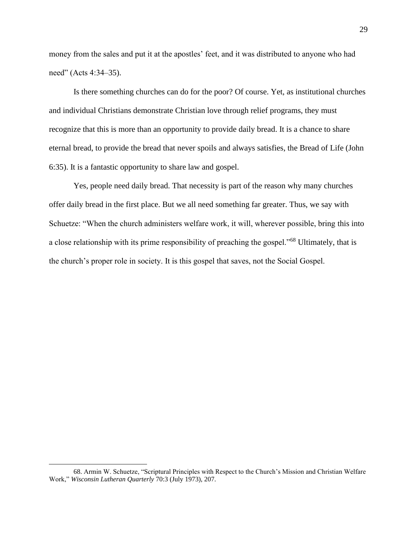money from the sales and put it at the apostles' feet, and it was distributed to anyone who had need" (Acts 4:34–35).

Is there something churches can do for the poor? Of course. Yet, as institutional churches and individual Christians demonstrate Christian love through relief programs, they must recognize that this is more than an opportunity to provide daily bread. It is a chance to share eternal bread, to provide the bread that never spoils and always satisfies, the Bread of Life (John 6:35). It is a fantastic opportunity to share law and gospel.

Yes, people need daily bread. That necessity is part of the reason why many churches offer daily bread in the first place. But we all need something far greater. Thus, we say with Schuetze: "When the church administers welfare work, it will, wherever possible, bring this into a close relationship with its prime responsibility of preaching the gospel."<sup>68</sup> Ultimately, that is the church's proper role in society. It is this gospel that saves, not the Social Gospel.

<sup>68.</sup> Armin W. Schuetze, "Scriptural Principles with Respect to the Church's Mission and Christian Welfare Work," *Wisconsin Lutheran Quarterly* 70:3 (July 1973), 207.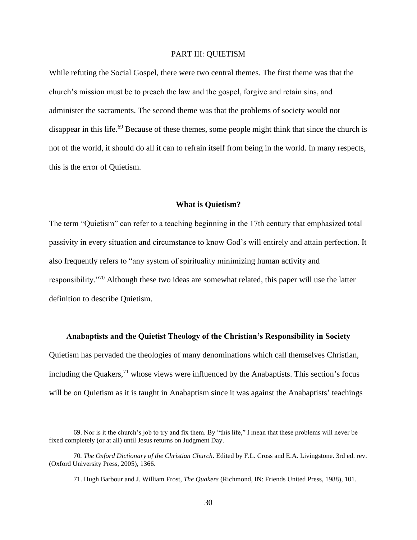## PART III: QUIETISM

<span id="page-32-0"></span>While refuting the Social Gospel, there were two central themes. The first theme was that the church's mission must be to preach the law and the gospel, forgive and retain sins, and administer the sacraments. The second theme was that the problems of society would not disappear in this life.<sup>69</sup> Because of these themes, some people might think that since the church is not of the world, it should do all it can to refrain itself from being in the world. In many respects, this is the error of Quietism.

#### **What is Quietism?**

<span id="page-32-1"></span>The term "Quietism" can refer to a teaching beginning in the 17th century that emphasized total passivity in every situation and circumstance to know God's will entirely and attain perfection. It also frequently refers to "any system of spirituality minimizing human activity and responsibility."<sup>70</sup> Although these two ideas are somewhat related, this paper will use the latter definition to describe Quietism.

<span id="page-32-2"></span>**Anabaptists and the Quietist Theology of the Christian's Responsibility in Society** Quietism has pervaded the theologies of many denominations which call themselves Christian, including the Quakers,  $^{71}$  whose views were influenced by the Anabaptists. This section's focus will be on Quietism as it is taught in Anabaptism since it was against the Anabaptists' teachings

<sup>69.</sup> Nor is it the church's job to try and fix them. By "this life," I mean that these problems will never be fixed completely (or at all) until Jesus returns on Judgment Day.

<sup>70</sup>*. The Oxford Dictionary of the Christian Church*. Edited by F.L. Cross and E.A. Livingstone. 3rd ed. rev. (Oxford University Press, 2005), 1366.

<sup>71.</sup> Hugh Barbour and J. William Frost, *The Quakers* (Richmond, IN: Friends United Press, 1988), 101.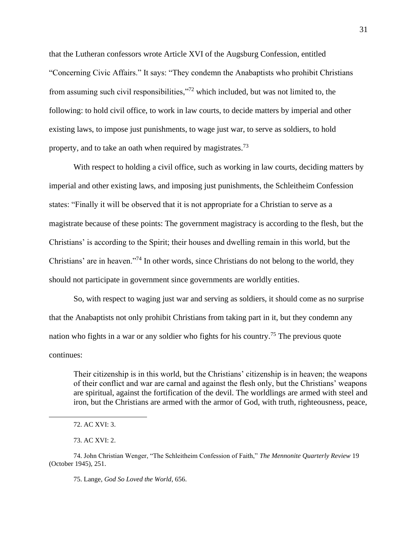that the Lutheran confessors wrote Article XVI of the Augsburg Confession, entitled "Concerning Civic Affairs." It says: "They condemn the Anabaptists who prohibit Christians from assuming such civil responsibilities,"<sup>72</sup> which included, but was not limited to, the following: to hold civil office, to work in law courts, to decide matters by imperial and other existing laws, to impose just punishments, to wage just war, to serve as soldiers, to hold property, and to take an oath when required by magistrates.<sup>73</sup>

With respect to holding a civil office, such as working in law courts, deciding matters by imperial and other existing laws, and imposing just punishments, the Schleitheim Confession states: "Finally it will be observed that it is not appropriate for a Christian to serve as a magistrate because of these points: The government magistracy is according to the flesh, but the Christians' is according to the Spirit; their houses and dwelling remain in this world, but the Christians' are in heaven."<sup>74</sup> In other words, since Christians do not belong to the world, they should not participate in government since governments are worldly entities.

So, with respect to waging just war and serving as soldiers, it should come as no surprise that the Anabaptists not only prohibit Christians from taking part in it, but they condemn any nation who fights in a war or any soldier who fights for his country.<sup>75</sup> The previous quote continues:

Their citizenship is in this world, but the Christians' citizenship is in heaven; the weapons of their conflict and war are carnal and against the flesh only, but the Christians' weapons are spiritual, against the fortification of the devil. The worldlings are armed with steel and iron, but the Christians are armed with the armor of God, with truth, righteousness, peace,

75. Lange, *God So Loved the World*, 656.

<sup>72.</sup> AC XVI: 3.

<sup>73.</sup> AC XVI: 2.

<sup>74.</sup> John Christian Wenger, "The Schleitheim Confession of Faith," *The Mennonite Quarterly Review* 19 (October 1945), 251.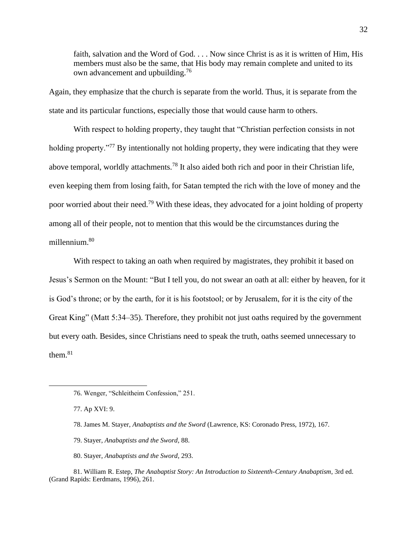faith, salvation and the Word of God. . . . Now since Christ is as it is written of Him, His members must also be the same, that His body may remain complete and united to its own advancement and upbuilding.<sup>76</sup>

Again, they emphasize that the church is separate from the world. Thus, it is separate from the state and its particular functions, especially those that would cause harm to others.

With respect to holding property, they taught that "Christian perfection consists in not holding property."<sup>77</sup> By intentionally not holding property, they were indicating that they were above temporal, worldly attachments.<sup>78</sup> It also aided both rich and poor in their Christian life, even keeping them from losing faith, for Satan tempted the rich with the love of money and the poor worried about their need.<sup>79</sup> With these ideas, they advocated for a joint holding of property among all of their people, not to mention that this would be the circumstances during the millennium.<sup>80</sup>

With respect to taking an oath when required by magistrates, they prohibit it based on Jesus's Sermon on the Mount: "But I tell you, do not swear an oath at all: either by heaven, for it is God's throne; or by the earth, for it is his footstool; or by Jerusalem, for it is the city of the Great King" (Matt 5:34–35). Therefore, they prohibit not just oaths required by the government but every oath. Besides, since Christians need to speak the truth, oaths seemed unnecessary to them. $81$ 

- 78. James M. Stayer, *Anabaptists and the Sword* (Lawrence, KS: Coronado Press, 1972), 167.
- 79. Stayer, *Anabaptists and the Sword*, 88.
- 80. Stayer, *Anabaptists and the Sword*, 293.
- 81. William R. Estep, *The Anabaptist Story: An Introduction to Sixteenth-Century Anabaptism*, 3rd ed. (Grand Rapids: Eerdmans, 1996), 261.

<sup>76.</sup> Wenger, "Schleitheim Confession," 251.

<sup>77.</sup> Ap XVI: 9.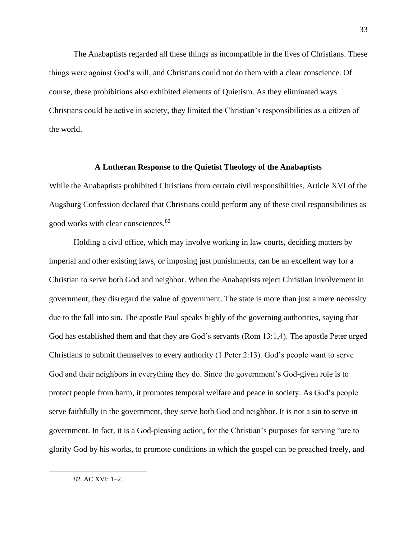The Anabaptists regarded all these things as incompatible in the lives of Christians. These things were against God's will, and Christians could not do them with a clear conscience. Of course, these prohibitions also exhibited elements of Quietism. As they eliminated ways Christians could be active in society, they limited the Christian's responsibilities as a citizen of the world.

#### **A Lutheran Response to the Quietist Theology of the Anabaptists**

<span id="page-35-0"></span>While the Anabaptists prohibited Christians from certain civil responsibilities, Article XVI of the Augsburg Confession declared that Christians could perform any of these civil responsibilities as good works with clear consciences.<sup>82</sup>

Holding a civil office, which may involve working in law courts, deciding matters by imperial and other existing laws, or imposing just punishments, can be an excellent way for a Christian to serve both God and neighbor. When the Anabaptists reject Christian involvement in government, they disregard the value of government. The state is more than just a mere necessity due to the fall into sin. The apostle Paul speaks highly of the governing authorities, saying that God has established them and that they are God's servants (Rom 13:1,4). The apostle Peter urged Christians to submit themselves to every authority (1 Peter 2:13). God's people want to serve God and their neighbors in everything they do. Since the government's God-given role is to protect people from harm, it promotes temporal welfare and peace in society. As God's people serve faithfully in the government, they serve both God and neighbor. It is not a sin to serve in government. In fact, it is a God-pleasing action, for the Christian's purposes for serving "are to glorify God by his works, to promote conditions in which the gospel can be preached freely, and

82. AC XVI: 1–2.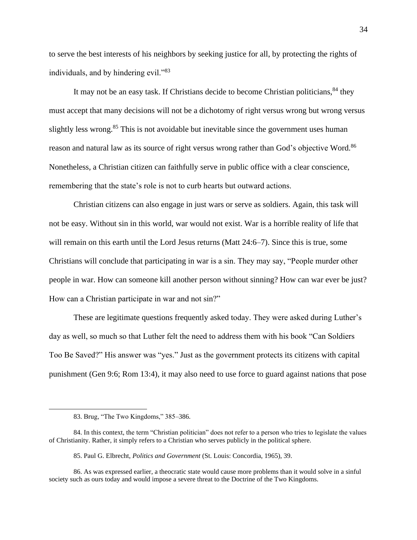to serve the best interests of his neighbors by seeking justice for all, by protecting the rights of individuals, and by hindering evil."<sup>83</sup>

It may not be an easy task. If Christians decide to become Christian politicians,  $84$  they must accept that many decisions will not be a dichotomy of right versus wrong but wrong versus slightly less wrong.<sup>85</sup> This is not avoidable but inevitable since the government uses human reason and natural law as its source of right versus wrong rather than God's objective Word.<sup>86</sup> Nonetheless, a Christian citizen can faithfully serve in public office with a clear conscience, remembering that the state's role is not to curb hearts but outward actions.

Christian citizens can also engage in just wars or serve as soldiers. Again, this task will not be easy. Without sin in this world, war would not exist. War is a horrible reality of life that will remain on this earth until the Lord Jesus returns (Matt 24:6–7). Since this is true, some Christians will conclude that participating in war is a sin. They may say, "People murder other people in war. How can someone kill another person without sinning? How can war ever be just? How can a Christian participate in war and not sin?"

These are legitimate questions frequently asked today. They were asked during Luther's day as well, so much so that Luther felt the need to address them with his book "Can Soldiers Too Be Saved?" His answer was "yes." Just as the government protects its citizens with capital punishment (Gen 9:6; Rom 13:4), it may also need to use force to guard against nations that pose

<sup>83.</sup> Brug, "The Two Kingdoms," 385–386.

<sup>84.</sup> In this context, the term "Christian politician" does not refer to a person who tries to legislate the values of Christianity. Rather, it simply refers to a Christian who serves publicly in the political sphere.

<sup>85.</sup> Paul G. Elbrecht, *Politics and Government* (St. Louis: Concordia, 1965), 39.

<sup>86.</sup> As was expressed earlier, a theocratic state would cause more problems than it would solve in a sinful society such as ours today and would impose a severe threat to the Doctrine of the Two Kingdoms.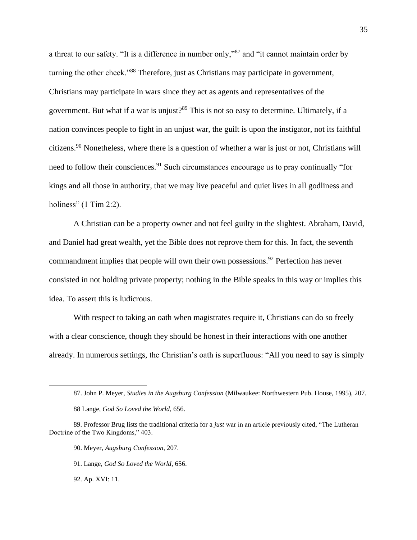a threat to our safety. "It is a difference in number only,"<sup>87</sup> and "it cannot maintain order by turning the other cheek."<sup>88</sup> Therefore, just as Christians may participate in government, Christians may participate in wars since they act as agents and representatives of the government. But what if a war is unjust?<sup>89</sup> This is not so easy to determine. Ultimately, if a nation convinces people to fight in an unjust war, the guilt is upon the instigator, not its faithful citizens.<sup>90</sup> Nonetheless, where there is a question of whether a war is just or not, Christians will need to follow their consciences.<sup>91</sup> Such circumstances encourage us to pray continually "for kings and all those in authority, that we may live peaceful and quiet lives in all godliness and holiness" (1 Tim 2:2).

A Christian can be a property owner and not feel guilty in the slightest. Abraham, David, and Daniel had great wealth, yet the Bible does not reprove them for this. In fact, the seventh commandment implies that people will own their own possessions.<sup>92</sup> Perfection has never consisted in not holding private property; nothing in the Bible speaks in this way or implies this idea. To assert this is ludicrous.

With respect to taking an oath when magistrates require it, Christians can do so freely with a clear conscience, though they should be honest in their interactions with one another already. In numerous settings, the Christian's oath is superfluous: "All you need to say is simply

- 90. Meyer, *Augsburg Confession*, 207.
- 91. Lange, *God So Loved the World*, 656.

92. Ap. XVI: 11.

<sup>87.</sup> John P. Meyer, *Studies in the Augsburg Confession* (Milwaukee: Northwestern Pub. House, 1995), 207.

<sup>88</sup> Lange, *God So Loved the World*, 656.

<sup>89.</sup> Professor Brug lists the traditional criteria for a *just* war in an article previously cited, "The Lutheran Doctrine of the Two Kingdoms," 403.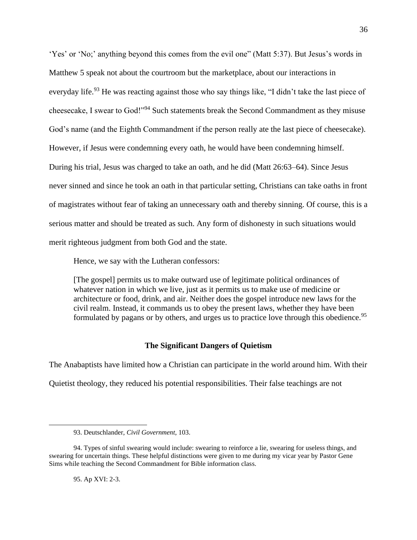'Yes' or 'No;' anything beyond this comes from the evil one" (Matt 5:37). But Jesus's words in Matthew 5 speak not about the courtroom but the marketplace, about our interactions in everyday life.<sup>93</sup> He was reacting against those who say things like, "I didn't take the last piece of cheesecake, I swear to God!"<sup>94</sup> Such statements break the Second Commandment as they misuse God's name (and the Eighth Commandment if the person really ate the last piece of cheesecake). However, if Jesus were condemning every oath, he would have been condemning himself. During his trial, Jesus was charged to take an oath, and he did (Matt 26:63–64). Since Jesus never sinned and since he took an oath in that particular setting, Christians can take oaths in front of magistrates without fear of taking an unnecessary oath and thereby sinning. Of course, this is a serious matter and should be treated as such. Any form of dishonesty in such situations would merit righteous judgment from both God and the state.

Hence, we say with the Lutheran confessors:

[The gospel] permits us to make outward use of legitimate political ordinances of whatever nation in which we live, just as it permits us to make use of medicine or architecture or food, drink, and air. Neither does the gospel introduce new laws for the civil realm. Instead, it commands us to obey the present laws, whether they have been formulated by pagans or by others, and urges us to practice love through this obedience.<sup>95</sup>

# **The Significant Dangers of Quietism**

<span id="page-38-0"></span>The Anabaptists have limited how a Christian can participate in the world around him. With their Quietist theology, they reduced his potential responsibilities. Their false teachings are not

95. Ap XVI: 2-3.

<sup>93.</sup> Deutschlander, *Civil Government*, 103.

<sup>94.</sup> Types of sinful swearing would include: swearing to reinforce a lie, swearing for useless things, and swearing for uncertain things. These helpful distinctions were given to me during my vicar year by Pastor Gene Sims while teaching the Second Commandment for Bible information class.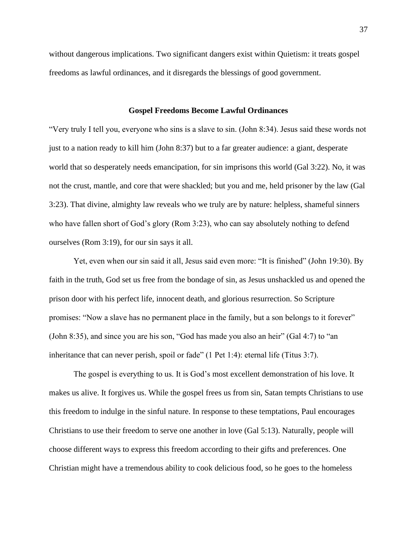without dangerous implications. Two significant dangers exist within Quietism: it treats gospel freedoms as lawful ordinances, and it disregards the blessings of good government.

#### **Gospel Freedoms Become Lawful Ordinances**

<span id="page-39-0"></span>"Very truly I tell you, everyone who sins is a slave to sin. (John 8:34). Jesus said these words not just to a nation ready to kill him (John 8:37) but to a far greater audience: a giant, desperate world that so desperately needs emancipation, for sin imprisons this world (Gal 3:22). No, it was not the crust, mantle, and core that were shackled; but you and me, held prisoner by the law (Gal 3:23). That divine, almighty law reveals who we truly are by nature: helpless, shameful sinners who have fallen short of God's glory (Rom 3:23), who can say absolutely nothing to defend ourselves (Rom 3:19), for our sin says it all.

Yet, even when our sin said it all, Jesus said even more: "It is finished" (John 19:30). By faith in the truth, God set us free from the bondage of sin, as Jesus unshackled us and opened the prison door with his perfect life, innocent death, and glorious resurrection. So Scripture promises: "Now a slave has no permanent place in the family, but a son belongs to it forever" (John 8:35), and since you are his son, "God has made you also an heir" (Gal 4:7) to "an inheritance that can never perish, spoil or fade" (1 Pet 1:4): eternal life (Titus 3:7).

The gospel is everything to us. It is God's most excellent demonstration of his love. It makes us alive. It forgives us. While the gospel frees us from sin, Satan tempts Christians to use this freedom to indulge in the sinful nature. In response to these temptations, Paul encourages Christians to use their freedom to serve one another in love (Gal 5:13). Naturally, people will choose different ways to express this freedom according to their gifts and preferences. One Christian might have a tremendous ability to cook delicious food, so he goes to the homeless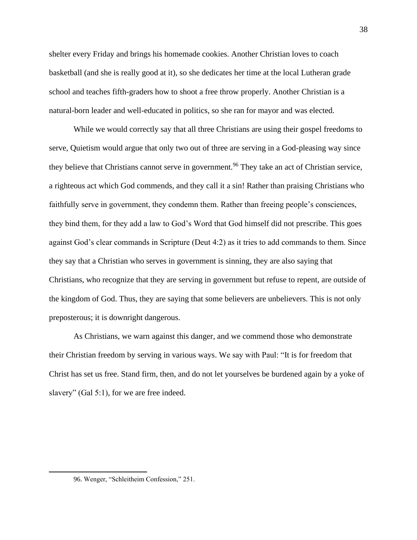shelter every Friday and brings his homemade cookies. Another Christian loves to coach basketball (and she is really good at it), so she dedicates her time at the local Lutheran grade school and teaches fifth-graders how to shoot a free throw properly. Another Christian is a natural-born leader and well-educated in politics, so she ran for mayor and was elected.

While we would correctly say that all three Christians are using their gospel freedoms to serve, Quietism would argue that only two out of three are serving in a God-pleasing way since they believe that Christians cannot serve in government.<sup>96</sup> They take an act of Christian service, a righteous act which God commends, and they call it a sin! Rather than praising Christians who faithfully serve in government, they condemn them. Rather than freeing people's consciences, they bind them, for they add a law to God's Word that God himself did not prescribe. This goes against God's clear commands in Scripture (Deut 4:2) as it tries to add commands to them. Since they say that a Christian who serves in government is sinning, they are also saying that Christians, who recognize that they are serving in government but refuse to repent, are outside of the kingdom of God. Thus, they are saying that some believers are unbelievers. This is not only preposterous; it is downright dangerous.

As Christians, we warn against this danger, and we commend those who demonstrate their Christian freedom by serving in various ways. We say with Paul: "It is for freedom that Christ has set us free. Stand firm, then, and do not let yourselves be burdened again by a yoke of slavery" (Gal 5:1), for we are free indeed.

<sup>96.</sup> Wenger, "Schleitheim Confession," 251.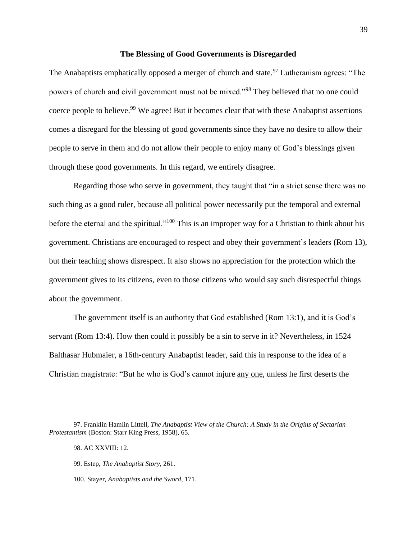#### **The Blessing of Good Governments is Disregarded**

<span id="page-41-0"></span>The Anabaptists emphatically opposed a merger of church and state.<sup>97</sup> Lutheranism agrees: "The powers of church and civil government must not be mixed."<sup>98</sup> They believed that no one could coerce people to believe.<sup>99</sup> We agree! But it becomes clear that with these Anabaptist assertions comes a disregard for the blessing of good governments since they have no desire to allow their people to serve in them and do not allow their people to enjoy many of God's blessings given through these good governments. In this regard, we entirely disagree.

Regarding those who serve in government, they taught that "in a strict sense there was no such thing as a good ruler, because all political power necessarily put the temporal and external before the eternal and the spiritual."<sup>100</sup> This is an improper way for a Christian to think about his government. Christians are encouraged to respect and obey their government's leaders (Rom 13), but their teaching shows disrespect. It also shows no appreciation for the protection which the government gives to its citizens, even to those citizens who would say such disrespectful things about the government.

The government itself is an authority that God established (Rom 13:1), and it is God's servant (Rom 13:4). How then could it possibly be a sin to serve in it? Nevertheless, in 1524 Balthasar Hubmaier, a 16th-century Anabaptist leader, said this in response to the idea of a Christian magistrate: "But he who is God's cannot injure any one, unless he first deserts the

<sup>97.</sup> Franklin Hamlin Littell, *The Anabaptist View of the Church: A Study in the Origins of Sectarian Protestantism* (Boston: Starr King Press, 1958), 65.

<sup>98.</sup> AC XXVIII: 12.

<sup>99.</sup> Estep, *The Anabaptist Story*, 261.

<sup>100.</sup> Stayer, *Anabaptists and the Sword*, 171.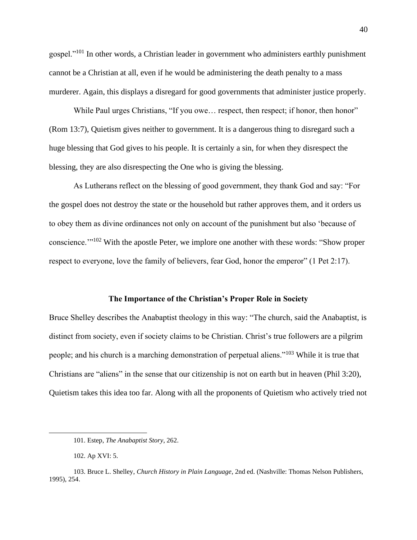gospel."<sup>101</sup> In other words, a Christian leader in government who administers earthly punishment cannot be a Christian at all, even if he would be administering the death penalty to a mass murderer. Again, this displays a disregard for good governments that administer justice properly.

While Paul urges Christians, "If you owe... respect, then respect; if honor, then honor" (Rom 13:7), Quietism gives neither to government. It is a dangerous thing to disregard such a huge blessing that God gives to his people. It is certainly a sin, for when they disrespect the blessing, they are also disrespecting the One who is giving the blessing.

As Lutherans reflect on the blessing of good government, they thank God and say: "For the gospel does not destroy the state or the household but rather approves them, and it orders us to obey them as divine ordinances not only on account of the punishment but also 'because of conscience.'"<sup>102</sup> With the apostle Peter, we implore one another with these words: "Show proper respect to everyone, love the family of believers, fear God, honor the emperor" (1 Pet 2:17).

#### **The Importance of the Christian's Proper Role in Society**

<span id="page-42-0"></span>Bruce Shelley describes the Anabaptist theology in this way: "The church, said the Anabaptist, is distinct from society, even if society claims to be Christian. Christ's true followers are a pilgrim people; and his church is a marching demonstration of perpetual aliens."<sup>103</sup> While it is true that Christians are "aliens" in the sense that our citizenship is not on earth but in heaven (Phil 3:20), Quietism takes this idea too far. Along with all the proponents of Quietism who actively tried not

<sup>101.</sup> Estep, *The Anabaptist Story*, 262.

<sup>102.</sup> Ap XVI: 5.

<sup>103.</sup> Bruce L. Shelley, *Church History in Plain Language*, 2nd ed. (Nashville: Thomas Nelson Publishers, 1995), 254.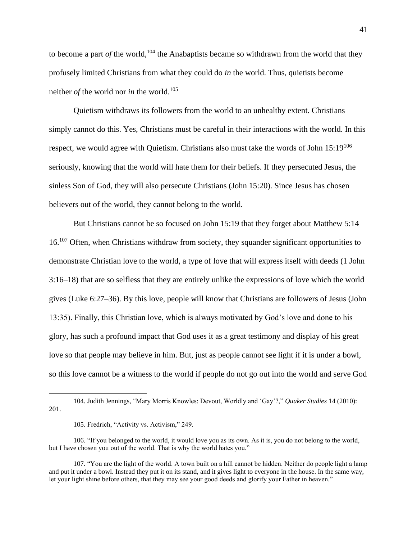to become a part *of* the world,<sup>104</sup> the Anabaptists became so withdrawn from the world that they profusely limited Christians from what they could do *in* the world. Thus, quietists become neither *of* the world nor *in* the world.<sup>105</sup>

Quietism withdraws its followers from the world to an unhealthy extent. Christians simply cannot do this. Yes, Christians must be careful in their interactions with the world. In this respect, we would agree with Quietism. Christians also must take the words of John  $15:19^{106}$ seriously, knowing that the world will hate them for their beliefs. If they persecuted Jesus, the sinless Son of God, they will also persecute Christians (John 15:20). Since Jesus has chosen believers out of the world, they cannot belong to the world.

But Christians cannot be so focused on John 15:19 that they forget about Matthew 5:14– 16.<sup>107</sup> Often, when Christians withdraw from society, they squander significant opportunities to demonstrate Christian love to the world, a type of love that will express itself with deeds (1 John 3:16–18) that are so selfless that they are entirely unlike the expressions of love which the world gives (Luke 6:27–36). By this love, people will know that Christians are followers of Jesus (John 13:35). Finally, this Christian love, which is always motivated by God's love and done to his glory, has such a profound impact that God uses it as a great testimony and display of his great love so that people may believe in him. But, just as people cannot see light if it is under a bowl, so this love cannot be a witness to the world if people do not go out into the world and serve God

<sup>104.</sup> Judith Jennings, "Mary Morris Knowles: Devout, Worldly and 'Gay'?," *Quaker Studies* 14 (2010): 201.

<sup>105.</sup> Fredrich, "Activity vs. Activism," 249.

<sup>106. &</sup>quot;If you belonged to the world, it would love you as its own. As it is, you do not belong to the world, but I have chosen you out of the world. That is why the world hates you."

<sup>107. &</sup>quot;You are the light of the world. A town built on a hill cannot be hidden. Neither do people light a lamp and put it under a bowl. Instead they put it on its stand, and it gives light to everyone in the house. In the same way, let your light shine before others, that they may see your good deeds and glorify your Father in heaven."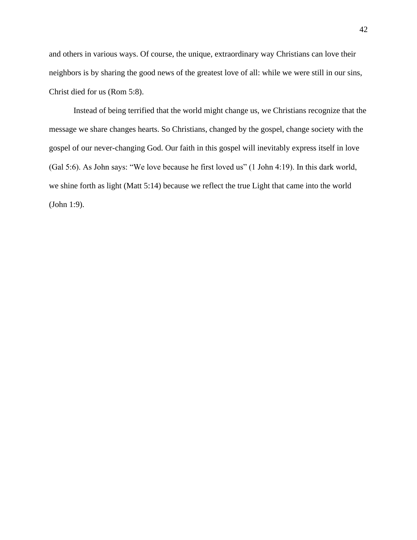and others in various ways. Of course, the unique, extraordinary way Christians can love their neighbors is by sharing the good news of the greatest love of all: while we were still in our sins, Christ died for us (Rom 5:8).

Instead of being terrified that the world might change us, we Christians recognize that the message we share changes hearts. So Christians, changed by the gospel, change society with the gospel of our never-changing God. Our faith in this gospel will inevitably express itself in love (Gal 5:6). As John says: "We love because he first loved us" (1 John 4:19). In this dark world, we shine forth as light (Matt 5:14) because we reflect the true Light that came into the world (John 1:9).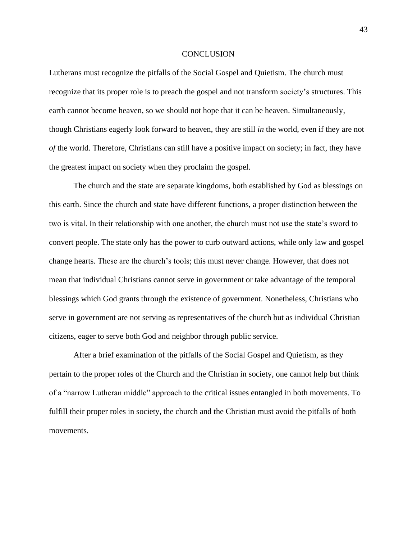#### **CONCLUSION**

<span id="page-45-0"></span>Lutherans must recognize the pitfalls of the Social Gospel and Quietism. The church must recognize that its proper role is to preach the gospel and not transform society's structures. This earth cannot become heaven, so we should not hope that it can be heaven. Simultaneously, though Christians eagerly look forward to heaven, they are still *in* the world, even if they are not *of* the world. Therefore, Christians can still have a positive impact on society; in fact, they have the greatest impact on society when they proclaim the gospel.

The church and the state are separate kingdoms, both established by God as blessings on this earth. Since the church and state have different functions, a proper distinction between the two is vital. In their relationship with one another, the church must not use the state's sword to convert people. The state only has the power to curb outward actions, while only law and gospel change hearts. These are the church's tools; this must never change. However, that does not mean that individual Christians cannot serve in government or take advantage of the temporal blessings which God grants through the existence of government. Nonetheless, Christians who serve in government are not serving as representatives of the church but as individual Christian citizens, eager to serve both God and neighbor through public service.

After a brief examination of the pitfalls of the Social Gospel and Quietism, as they pertain to the proper roles of the Church and the Christian in society, one cannot help but think of a "narrow Lutheran middle" approach to the critical issues entangled in both movements. To fulfill their proper roles in society, the church and the Christian must avoid the pitfalls of both movements.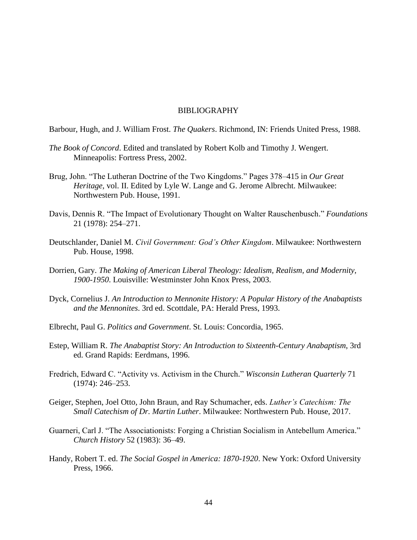# BIBLIOGRAPHY

<span id="page-46-0"></span>Barbour, Hugh, and J. William Frost. *The Quakers*. Richmond, IN: Friends United Press, 1988.

- *The Book of Concord*. Edited and translated by Robert Kolb and Timothy J. Wengert. Minneapolis: Fortress Press, 2002.
- Brug, John. "The Lutheran Doctrine of the Two Kingdoms." Pages 378–415 in *Our Great Heritage,* vol. II. Edited by Lyle W. Lange and G. Jerome Albrecht. Milwaukee: Northwestern Pub. House, 1991.
- Davis, Dennis R. "The Impact of Evolutionary Thought on Walter Rauschenbusch." *Foundations* 21 (1978): 254–271.
- Deutschlander, Daniel M. *Civil Government: God's Other Kingdom*. Milwaukee: Northwestern Pub. House, 1998.
- Dorrien, Gary. *The Making of American Liberal Theology: Idealism, Realism, and Modernity, 1900-1950*. Louisville: Westminster John Knox Press, 2003.
- Dyck, Cornelius J. *An Introduction to Mennonite History: A Popular History of the Anabaptists and the Mennonites*. 3rd ed. Scottdale, PA: Herald Press, 1993.
- Elbrecht, Paul G. *Politics and Government*. St. Louis: Concordia, 1965.
- Estep, William R. *The Anabaptist Story: An Introduction to Sixteenth-Century Anabaptism*, 3rd ed. Grand Rapids: Eerdmans, 1996.
- Fredrich, Edward C. "Activity vs. Activism in the Church." *Wisconsin Lutheran Quarterly* 71 (1974): 246–253.
- Geiger, Stephen, Joel Otto, John Braun, and Ray Schumacher, eds. *Luther's Catechism: The Small Catechism of Dr. Martin Luther*. Milwaukee: Northwestern Pub. House, 2017.
- Guarneri, Carl J. "The Associationists: Forging a Christian Socialism in Antebellum America." *Church History* 52 (1983): 36–49.
- Handy, Robert T. ed. *The Social Gospel in America: 1870-1920*. New York: Oxford University Press, 1966.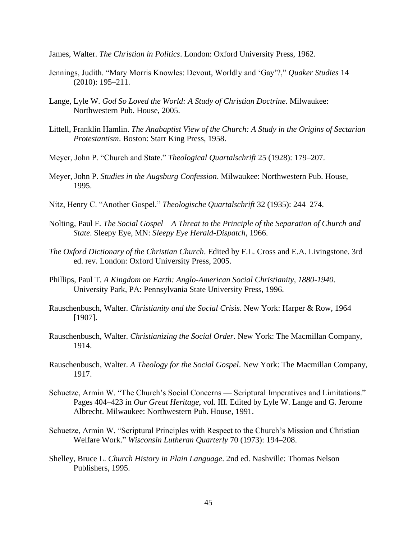James, Walter. *The Christian in Politics*. London: Oxford University Press, 1962.

- Jennings, Judith. "Mary Morris Knowles: Devout, Worldly and 'Gay'?," *Quaker Studies* 14 (2010): 195–211.
- Lange, Lyle W. *God So Loved the World: A Study of Christian Doctrine*. Milwaukee: Northwestern Pub. House, 2005.
- Littell, Franklin Hamlin. *The Anabaptist View of the Church: A Study in the Origins of Sectarian Protestantism*. Boston: Starr King Press, 1958.
- Meyer, John P. "Church and State." *Theological Quartalschrift* 25 (1928): 179–207.
- Meyer, John P. *Studies in the Augsburg Confession*. Milwaukee: Northwestern Pub. House, 1995.
- Nitz, Henry C. "Another Gospel." *Theologische Quartalschrift* 32 (1935): 244–274.
- Nolting, Paul F. *The Social Gospel – A Threat to the Principle of the Separation of Church and State*. Sleepy Eye, MN: *Sleepy Eye Herald-Dispatch*, 1966.
- *The Oxford Dictionary of the Christian Church*. Edited by F.L. Cross and E.A. Livingstone. 3rd ed. rev. London: Oxford University Press, 2005.
- Phillips, Paul T. *A Kingdom on Earth: Anglo-American Social Christianity, 1880-1940*. University Park, PA: Pennsylvania State University Press, 1996.
- Rauschenbusch, Walter. *Christianity and the Social Crisis*. New York: Harper & Row, 1964 [1907].
- Rauschenbusch, Walter. *Christianizing the Social Order*. New York: The Macmillan Company, 1914.
- Rauschenbusch, Walter. *A Theology for the Social Gospel*. New York: The Macmillan Company, 1917.
- Schuetze, Armin W. "The Church's Social Concerns Scriptural Imperatives and Limitations." Pages 404–423 in *Our Great Heritage*, vol. III. Edited by Lyle W. Lange and G. Jerome Albrecht. Milwaukee: Northwestern Pub. House, 1991.
- Schuetze, Armin W. "Scriptural Principles with Respect to the Church's Mission and Christian Welfare Work." *Wisconsin Lutheran Quarterly* 70 (1973): 194–208.
- Shelley, Bruce L. *Church History in Plain Language*. 2nd ed. Nashville: Thomas Nelson Publishers, 1995.